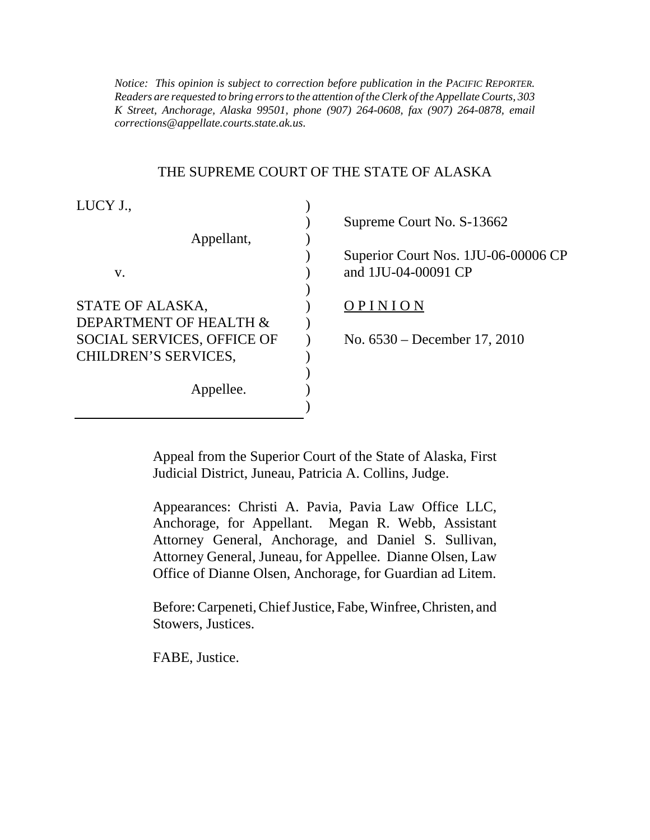*Notice: This opinion is subject to correction before publication in the PACIFIC REPORTER. Readers are requested to bring errors to the attention of the Clerk of the Appellate Courts, 303 K Street, Anchorage, Alaska 99501, phone (907) 264-0608, fax (907) 264-0878, email corrections@appellate.courts.state.ak.us*.

#### THE SUPREME COURT OF THE STATE OF ALASKA

| LUCY J.,                    |                                                            |
|-----------------------------|------------------------------------------------------------|
|                             | Supreme Court No. S-13662                                  |
| Appellant,                  |                                                            |
| v.                          | Superior Court Nos. 1JU-06-00006 CP<br>and 1JU-04-00091 CP |
|                             |                                                            |
| STATE OF ALASKA,            | OPINION                                                    |
| DEPARTMENT OF HEALTH &      |                                                            |
| SOCIAL SERVICES, OFFICE OF  | No. $6530 - December 17, 2010$                             |
| <b>CHILDREN'S SERVICES,</b> |                                                            |
|                             |                                                            |
| Appellee.                   |                                                            |
|                             |                                                            |

Appeal from the Superior Court of the State of Alaska, First Judicial District, Juneau, Patricia A. Collins, Judge.

Appearances: Christi A. Pavia, Pavia Law Office LLC, Anchorage, for Appellant. Megan R. Webb, Assistant Attorney General, Anchorage, and Daniel S. Sullivan, Attorney General, Juneau, for Appellee. Dianne Olsen, Law Office of Dianne Olsen, Anchorage, for Guardian ad Litem.

Before: Carpeneti, Chief Justice, Fabe, Winfree, Christen, and Stowers, Justices.

FABE, Justice.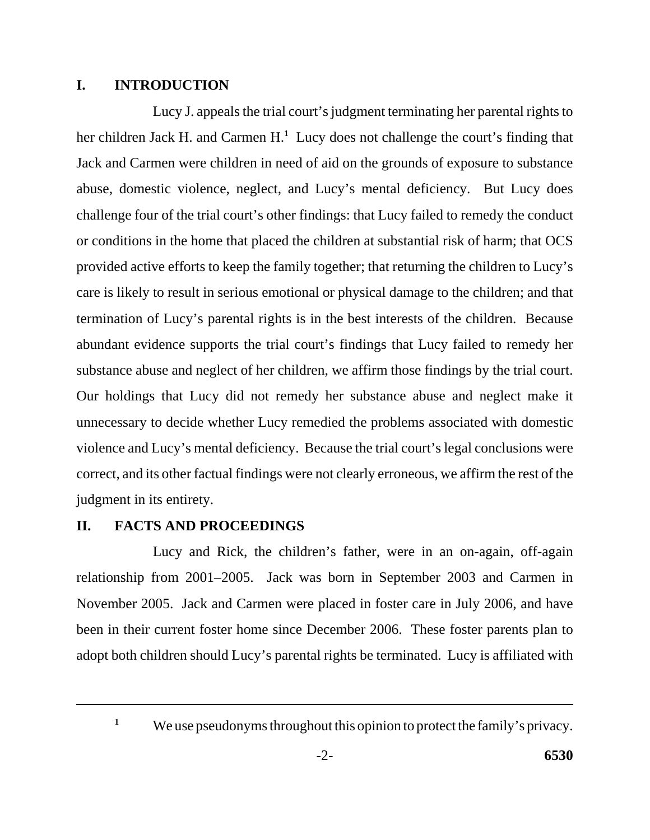# **I. INTRODUCTION**

Lucy J. appeals the trial court's judgment terminating her parental rights to her children Jack H. and Carmen H.**<sup>1</sup>** Lucy does not challenge the court's finding that Jack and Carmen were children in need of aid on the grounds of exposure to substance abuse, domestic violence, neglect, and Lucy's mental deficiency. But Lucy does challenge four of the trial court's other findings: that Lucy failed to remedy the conduct or conditions in the home that placed the children at substantial risk of harm; that OCS provided active efforts to keep the family together; that returning the children to Lucy's care is likely to result in serious emotional or physical damage to the children; and that termination of Lucy's parental rights is in the best interests of the children. Because abundant evidence supports the trial court's findings that Lucy failed to remedy her substance abuse and neglect of her children, we affirm those findings by the trial court. Our holdings that Lucy did not remedy her substance abuse and neglect make it unnecessary to decide whether Lucy remedied the problems associated with domestic violence and Lucy's mental deficiency. Because the trial court's legal conclusions were correct, and its other factual findings were not clearly erroneous, we affirm the rest of the judgment in its entirety.

# **II. FACTS AND PROCEEDINGS**

Lucy and Rick, the children's father, were in an on-again, off-again relationship from 2001–2005. Jack was born in September 2003 and Carmen in November 2005. Jack and Carmen were placed in foster care in July 2006, and have been in their current foster home since December 2006. These foster parents plan to adopt both children should Lucy's parental rights be terminated. Lucy is affiliated with

<sup>&</sup>lt;sup>1</sup>We use pseudonyms throughout this opinion to protect the family's privacy.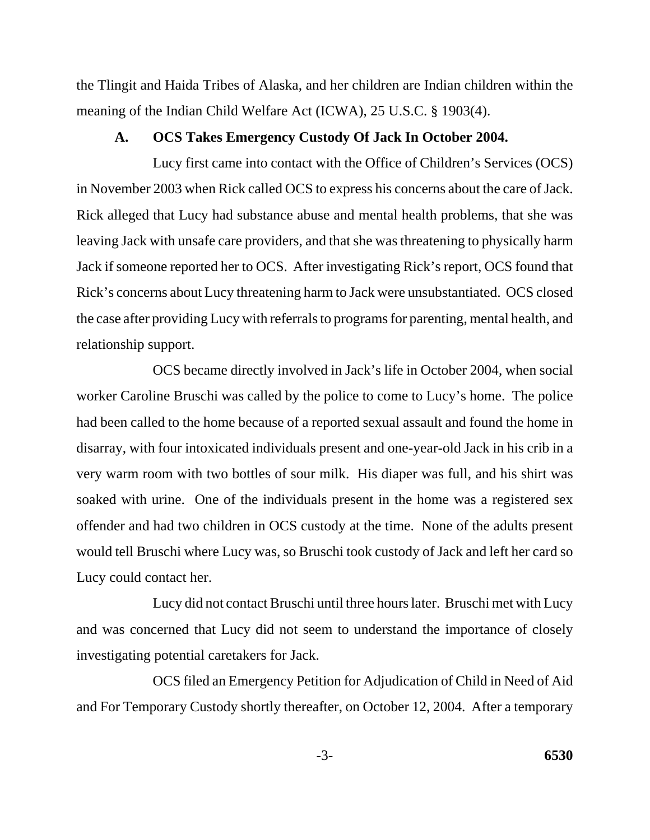the Tlingit and Haida Tribes of Alaska, and her children are Indian children within the meaning of the Indian Child Welfare Act (ICWA), 25 U.S.C. § 1903(4).

#### **A. OCS Takes Emergency Custody Of Jack In October 2004.**

Lucy first came into contact with the Office of Children's Services (OCS) in November 2003 when Rick called OCS to express his concerns about the care of Jack. Rick alleged that Lucy had substance abuse and mental health problems, that she was leaving Jack with unsafe care providers, and that she was threatening to physically harm Jack if someone reported her to OCS. After investigating Rick's report, OCS found that Rick's concerns about Lucy threatening harm to Jack were unsubstantiated. OCS closed the case after providing Lucy with referrals to programs for parenting, mental health, and relationship support.

OCS became directly involved in Jack's life in October 2004, when social worker Caroline Bruschi was called by the police to come to Lucy's home. The police had been called to the home because of a reported sexual assault and found the home in disarray, with four intoxicated individuals present and one-year-old Jack in his crib in a very warm room with two bottles of sour milk. His diaper was full, and his shirt was soaked with urine. One of the individuals present in the home was a registered sex offender and had two children in OCS custody at the time. None of the adults present would tell Bruschi where Lucy was, so Bruschi took custody of Jack and left her card so Lucy could contact her.

Lucy did not contact Bruschi until three hours later. Bruschi met with Lucy and was concerned that Lucy did not seem to understand the importance of closely investigating potential caretakers for Jack.

OCS filed an Emergency Petition for Adjudication of Child in Need of Aid and For Temporary Custody shortly thereafter, on October 12, 2004. After a temporary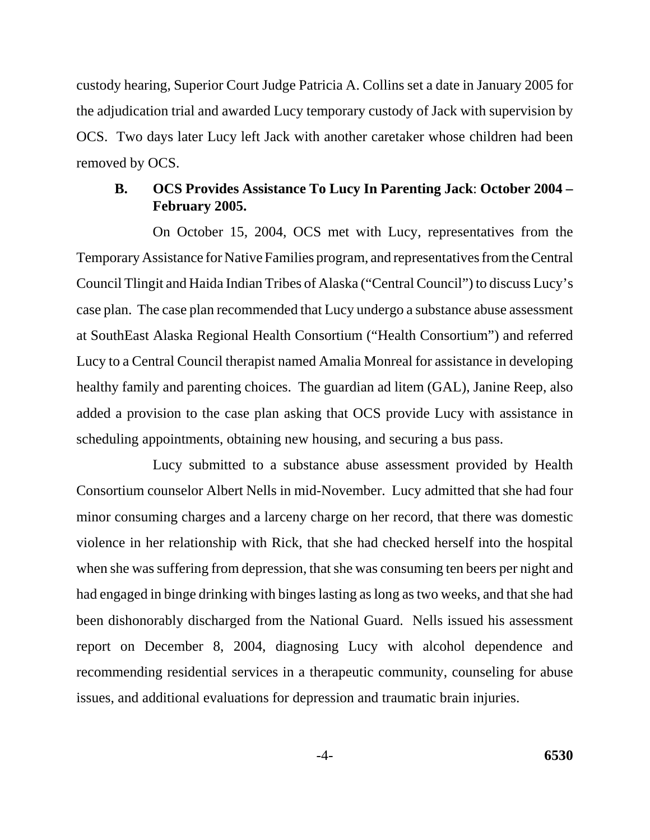custody hearing, Superior Court Judge Patricia A. Collins set a date in January 2005 for the adjudication trial and awarded Lucy temporary custody of Jack with supervision by OCS. Two days later Lucy left Jack with another caretaker whose children had been removed by OCS.

### **B. OCS Provides Assistance To Lucy In Parenting Jack**: **October 2004 – February 2005.**

On October 15, 2004, OCS met with Lucy, representatives from the Temporary Assistance for Native Families program, and representatives from the Central Council Tlingit and Haida Indian Tribes of Alaska ("Central Council") to discuss Lucy's case plan. The case plan recommended that Lucy undergo a substance abuse assessment at SouthEast Alaska Regional Health Consortium ("Health Consortium") and referred Lucy to a Central Council therapist named Amalia Monreal for assistance in developing healthy family and parenting choices. The guardian ad litem (GAL), Janine Reep, also added a provision to the case plan asking that OCS provide Lucy with assistance in scheduling appointments, obtaining new housing, and securing a bus pass.

Lucy submitted to a substance abuse assessment provided by Health Consortium counselor Albert Nells in mid-November. Lucy admitted that she had four minor consuming charges and a larceny charge on her record, that there was domestic violence in her relationship with Rick, that she had checked herself into the hospital when she was suffering from depression, that she was consuming ten beers per night and had engaged in binge drinking with binges lasting as long as two weeks, and that she had been dishonorably discharged from the National Guard. Nells issued his assessment report on December 8, 2004, diagnosing Lucy with alcohol dependence and recommending residential services in a therapeutic community, counseling for abuse issues, and additional evaluations for depression and traumatic brain injuries.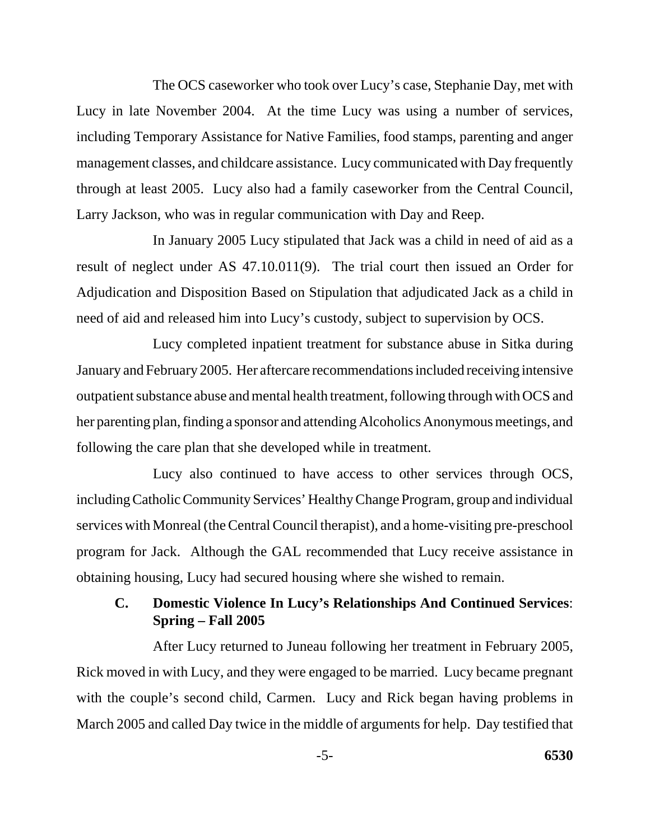The OCS caseworker who took over Lucy's case, Stephanie Day, met with Lucy in late November 2004. At the time Lucy was using a number of services, including Temporary Assistance for Native Families, food stamps, parenting and anger management classes, and childcare assistance. Lucy communicated with Day frequently through at least 2005. Lucy also had a family caseworker from the Central Council, Larry Jackson, who was in regular communication with Day and Reep.

In January 2005 Lucy stipulated that Jack was a child in need of aid as a result of neglect under AS 47.10.011(9). The trial court then issued an Order for Adjudication and Disposition Based on Stipulation that adjudicated Jack as a child in need of aid and released him into Lucy's custody, subject to supervision by OCS.

Lucy completed inpatient treatment for substance abuse in Sitka during January and February 2005. Her aftercare recommendations included receiving intensive outpatient substance abuse and mental health treatment, following through with OCS and her parenting plan, finding a sponsor and attending Alcoholics Anonymous meetings, and following the care plan that she developed while in treatment.

Lucy also continued to have access to other services through OCS, including Catholic Community Services' Healthy Change Program, group and individual services with Monreal (the Central Council therapist), and a home-visiting pre-preschool program for Jack. Although the GAL recommended that Lucy receive assistance in obtaining housing, Lucy had secured housing where she wished to remain.

### **C. Domestic Violence In Lucy's Relationships And Continued Services**: **Spring – Fall 2005**

After Lucy returned to Juneau following her treatment in February 2005, Rick moved in with Lucy, and they were engaged to be married. Lucy became pregnant with the couple's second child, Carmen. Lucy and Rick began having problems in March 2005 and called Day twice in the middle of arguments for help. Day testified that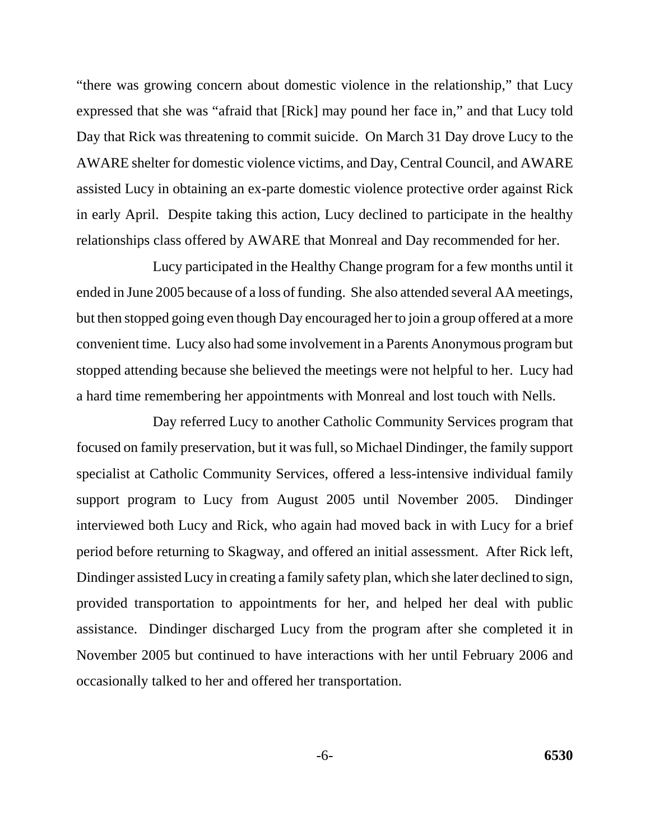"there was growing concern about domestic violence in the relationship," that Lucy expressed that she was "afraid that [Rick] may pound her face in," and that Lucy told Day that Rick was threatening to commit suicide. On March 31 Day drove Lucy to the AWARE shelter for domestic violence victims, and Day, Central Council, and AWARE assisted Lucy in obtaining an ex-parte domestic violence protective order against Rick in early April. Despite taking this action, Lucy declined to participate in the healthy relationships class offered by AWARE that Monreal and Day recommended for her.

Lucy participated in the Healthy Change program for a few months until it ended in June 2005 because of a loss of funding. She also attended several AA meetings, but then stopped going even though Day encouraged her to join a group offered at a more convenient time. Lucy also had some involvement in a Parents Anonymous program but stopped attending because she believed the meetings were not helpful to her. Lucy had a hard time remembering her appointments with Monreal and lost touch with Nells.

Day referred Lucy to another Catholic Community Services program that focused on family preservation, but it was full, so Michael Dindinger, the family support specialist at Catholic Community Services, offered a less-intensive individual family support program to Lucy from August 2005 until November 2005. Dindinger interviewed both Lucy and Rick, who again had moved back in with Lucy for a brief period before returning to Skagway, and offered an initial assessment. After Rick left, Dindinger assisted Lucy in creating a family safety plan, which she later declined to sign, provided transportation to appointments for her, and helped her deal with public assistance. Dindinger discharged Lucy from the program after she completed it in November 2005 but continued to have interactions with her until February 2006 and occasionally talked to her and offered her transportation.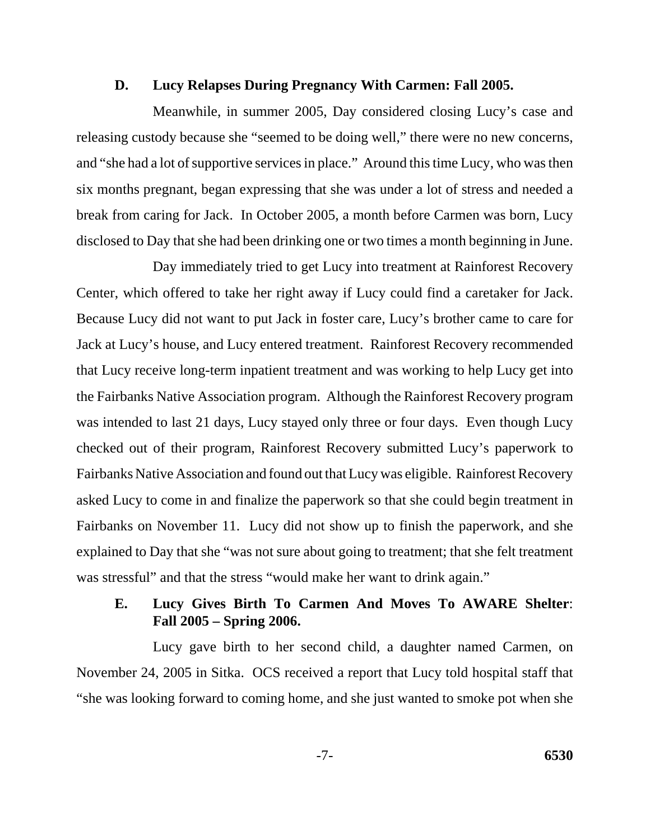#### **D. Lucy Relapses During Pregnancy With Carmen: Fall 2005.**

Meanwhile, in summer 2005, Day considered closing Lucy's case and releasing custody because she "seemed to be doing well," there were no new concerns, and "she had a lot of supportive services in place." Around this time Lucy, who was then six months pregnant, began expressing that she was under a lot of stress and needed a break from caring for Jack. In October 2005, a month before Carmen was born, Lucy disclosed to Day that she had been drinking one or two times a month beginning in June.

Day immediately tried to get Lucy into treatment at Rainforest Recovery Center, which offered to take her right away if Lucy could find a caretaker for Jack. Because Lucy did not want to put Jack in foster care, Lucy's brother came to care for Jack at Lucy's house, and Lucy entered treatment. Rainforest Recovery recommended that Lucy receive long-term inpatient treatment and was working to help Lucy get into the Fairbanks Native Association program. Although the Rainforest Recovery program was intended to last 21 days, Lucy stayed only three or four days. Even though Lucy checked out of their program, Rainforest Recovery submitted Lucy's paperwork to Fairbanks Native Association and found out that Lucy was eligible. Rainforest Recovery asked Lucy to come in and finalize the paperwork so that she could begin treatment in Fairbanks on November 11. Lucy did not show up to finish the paperwork, and she explained to Day that she "was not sure about going to treatment; that she felt treatment was stressful" and that the stress "would make her want to drink again."

### **E. Lucy Gives Birth To Carmen And Moves To AWARE Shelter**: **Fall 2005 – Spring 2006.**

Lucy gave birth to her second child, a daughter named Carmen, on November 24, 2005 in Sitka. OCS received a report that Lucy told hospital staff that "she was looking forward to coming home, and she just wanted to smoke pot when she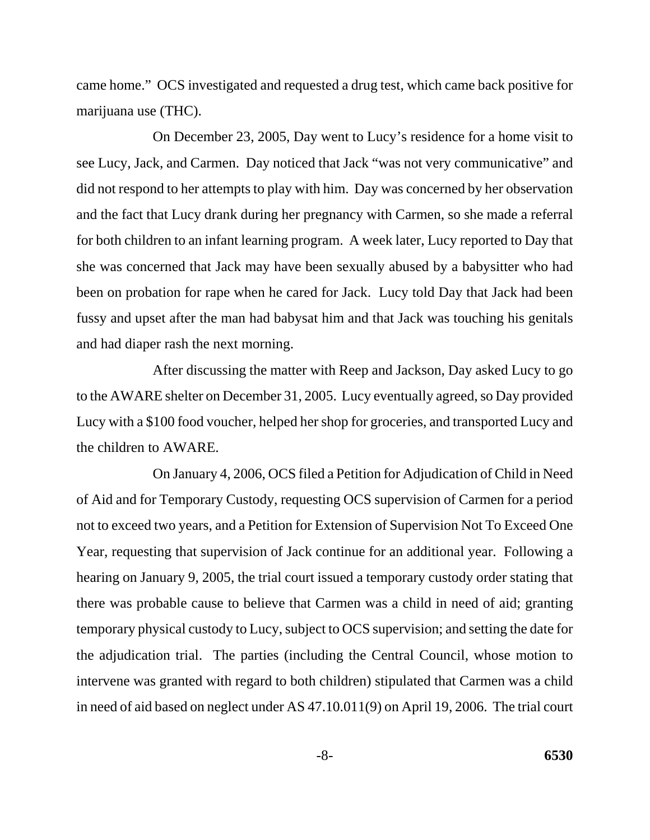came home." OCS investigated and requested a drug test, which came back positive for marijuana use (THC).

On December 23, 2005, Day went to Lucy's residence for a home visit to see Lucy, Jack, and Carmen. Day noticed that Jack "was not very communicative" and did not respond to her attempts to play with him. Day was concerned by her observation and the fact that Lucy drank during her pregnancy with Carmen, so she made a referral for both children to an infant learning program. A week later, Lucy reported to Day that she was concerned that Jack may have been sexually abused by a babysitter who had been on probation for rape when he cared for Jack. Lucy told Day that Jack had been fussy and upset after the man had babysat him and that Jack was touching his genitals and had diaper rash the next morning.

After discussing the matter with Reep and Jackson, Day asked Lucy to go to the AWARE shelter on December 31, 2005. Lucy eventually agreed, so Day provided Lucy with a \$100 food voucher, helped her shop for groceries, and transported Lucy and the children to AWARE.

On January 4, 2006, OCS filed a Petition for Adjudication of Child in Need of Aid and for Temporary Custody, requesting OCS supervision of Carmen for a period not to exceed two years, and a Petition for Extension of Supervision Not To Exceed One Year, requesting that supervision of Jack continue for an additional year. Following a hearing on January 9, 2005, the trial court issued a temporary custody order stating that there was probable cause to believe that Carmen was a child in need of aid; granting temporary physical custody to Lucy, subject to OCS supervision; and setting the date for the adjudication trial. The parties (including the Central Council, whose motion to intervene was granted with regard to both children) stipulated that Carmen was a child in need of aid based on neglect under AS 47.10.011(9) on April 19, 2006. The trial court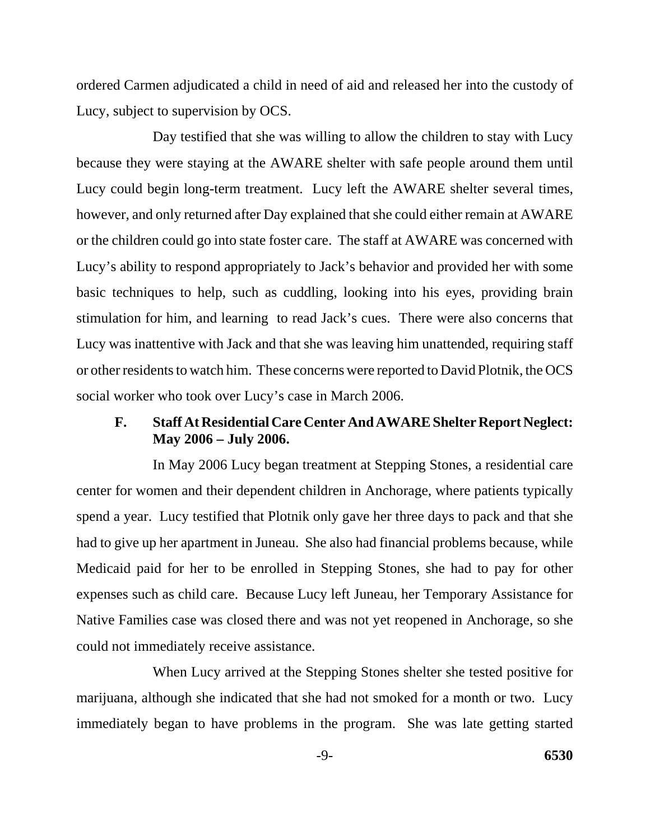ordered Carmen adjudicated a child in need of aid and released her into the custody of Lucy, subject to supervision by OCS.

Day testified that she was willing to allow the children to stay with Lucy because they were staying at the AWARE shelter with safe people around them until Lucy could begin long-term treatment. Lucy left the AWARE shelter several times, however, and only returned after Day explained that she could either remain at AWARE or the children could go into state foster care. The staff at AWARE was concerned with Lucy's ability to respond appropriately to Jack's behavior and provided her with some basic techniques to help, such as cuddling, looking into his eyes, providing brain stimulation for him, and learning to read Jack's cues. There were also concerns that Lucy was inattentive with Jack and that she was leaving him unattended, requiring staff or other residents to watch him. These concerns were reported to David Plotnik, the OCS social worker who took over Lucy's case in March 2006.

#### **F. Staff At Residential Care Center And AWARE Shelter Report Neglect: May 2006 – July 2006.**

In May 2006 Lucy began treatment at Stepping Stones, a residential care center for women and their dependent children in Anchorage, where patients typically spend a year. Lucy testified that Plotnik only gave her three days to pack and that she had to give up her apartment in Juneau. She also had financial problems because, while Medicaid paid for her to be enrolled in Stepping Stones, she had to pay for other expenses such as child care. Because Lucy left Juneau, her Temporary Assistance for Native Families case was closed there and was not yet reopened in Anchorage, so she could not immediately receive assistance.

When Lucy arrived at the Stepping Stones shelter she tested positive for marijuana, although she indicated that she had not smoked for a month or two. Lucy immediately began to have problems in the program. She was late getting started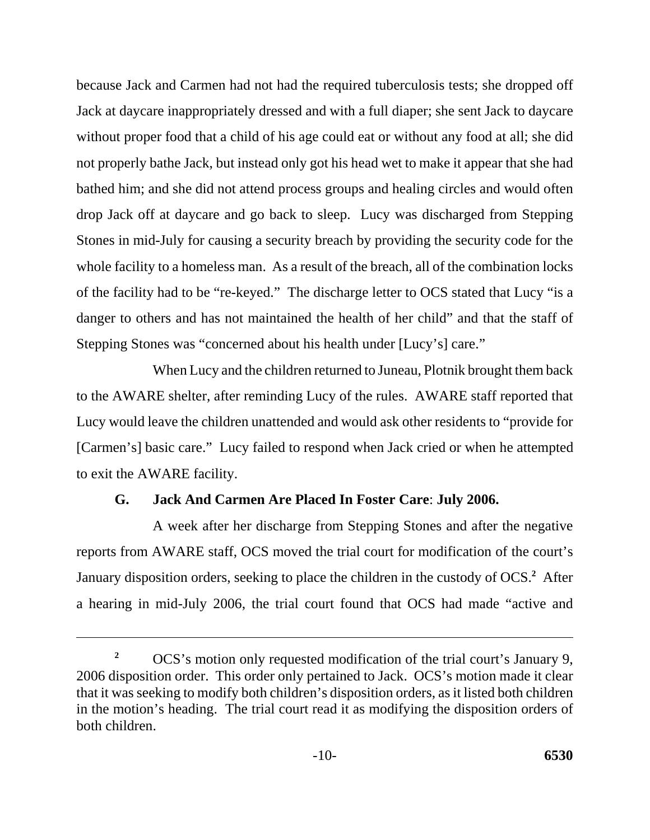because Jack and Carmen had not had the required tuberculosis tests; she dropped off Jack at daycare inappropriately dressed and with a full diaper; she sent Jack to daycare without proper food that a child of his age could eat or without any food at all; she did not properly bathe Jack, but instead only got his head wet to make it appear that she had bathed him; and she did not attend process groups and healing circles and would often drop Jack off at daycare and go back to sleep. Lucy was discharged from Stepping Stones in mid-July for causing a security breach by providing the security code for the whole facility to a homeless man. As a result of the breach, all of the combination locks of the facility had to be "re-keyed." The discharge letter to OCS stated that Lucy "is a danger to others and has not maintained the health of her child" and that the staff of Stepping Stones was "concerned about his health under [Lucy's] care."

When Lucy and the children returned to Juneau, Plotnik brought them back to the AWARE shelter, after reminding Lucy of the rules. AWARE staff reported that Lucy would leave the children unattended and would ask other residents to "provide for [Carmen's] basic care." Lucy failed to respond when Jack cried or when he attempted to exit the AWARE facility.

# **G. Jack And Carmen Are Placed In Foster Care**: **July 2006.**

A week after her discharge from Stepping Stones and after the negative reports from AWARE staff, OCS moved the trial court for modification of the court's January disposition orders, seeking to place the children in the custody of OCS.**<sup>2</sup>** After a hearing in mid-July 2006, the trial court found that OCS had made "active and

<sup>&</sup>lt;sup>2</sup> OCS's motion only requested modification of the trial court's January 9, 2006 disposition order. This order only pertained to Jack. OCS's motion made it clear that it was seeking to modify both children's disposition orders, as it listed both children in the motion's heading. The trial court read it as modifying the disposition orders of both children.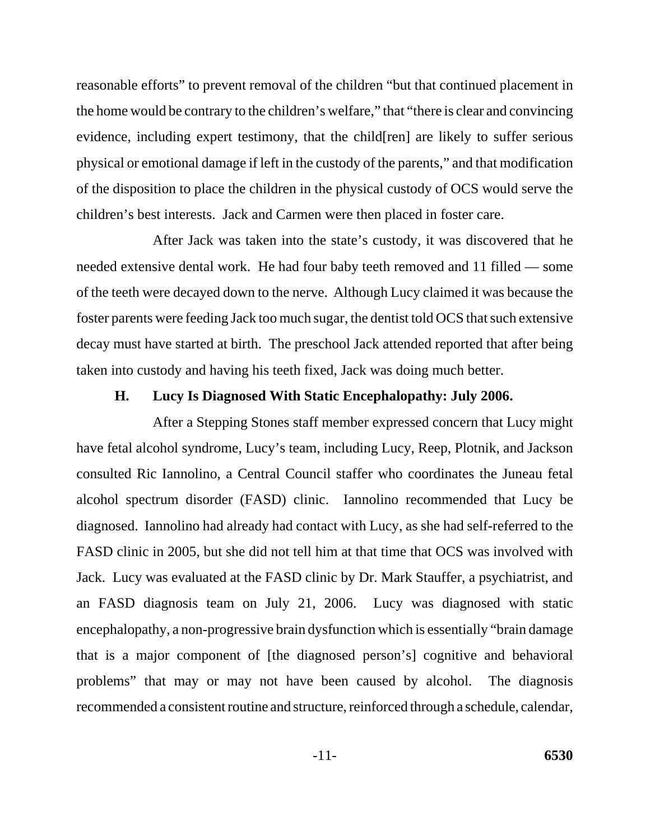reasonable efforts" to prevent removal of the children "but that continued placement in the home would be contrary to the children's welfare," that "there is clear and convincing evidence, including expert testimony, that the child[ren] are likely to suffer serious physical or emotional damage if left in the custody of the parents," and that modification of the disposition to place the children in the physical custody of OCS would serve the children's best interests. Jack and Carmen were then placed in foster care.

After Jack was taken into the state's custody, it was discovered that he needed extensive dental work. He had four baby teeth removed and 11 filled — some of the teeth were decayed down to the nerve. Although Lucy claimed it was because the foster parents were feeding Jack too much sugar, the dentist told OCS that such extensive decay must have started at birth. The preschool Jack attended reported that after being taken into custody and having his teeth fixed, Jack was doing much better.

#### **H. Lucy Is Diagnosed With Static Encephalopathy: July 2006.**

After a Stepping Stones staff member expressed concern that Lucy might have fetal alcohol syndrome, Lucy's team, including Lucy, Reep, Plotnik, and Jackson consulted Ric Iannolino, a Central Council staffer who coordinates the Juneau fetal alcohol spectrum disorder (FASD) clinic. Iannolino recommended that Lucy be diagnosed. Iannolino had already had contact with Lucy, as she had self-referred to the FASD clinic in 2005, but she did not tell him at that time that OCS was involved with Jack. Lucy was evaluated at the FASD clinic by Dr. Mark Stauffer, a psychiatrist, and an FASD diagnosis team on July 21, 2006. Lucy was diagnosed with static encephalopathy, a non-progressive brain dysfunction which is essentially "brain damage that is a major component of [the diagnosed person's] cognitive and behavioral problems" that may or may not have been caused by alcohol. The diagnosis recommended a consistent routine and structure, reinforced through a schedule, calendar,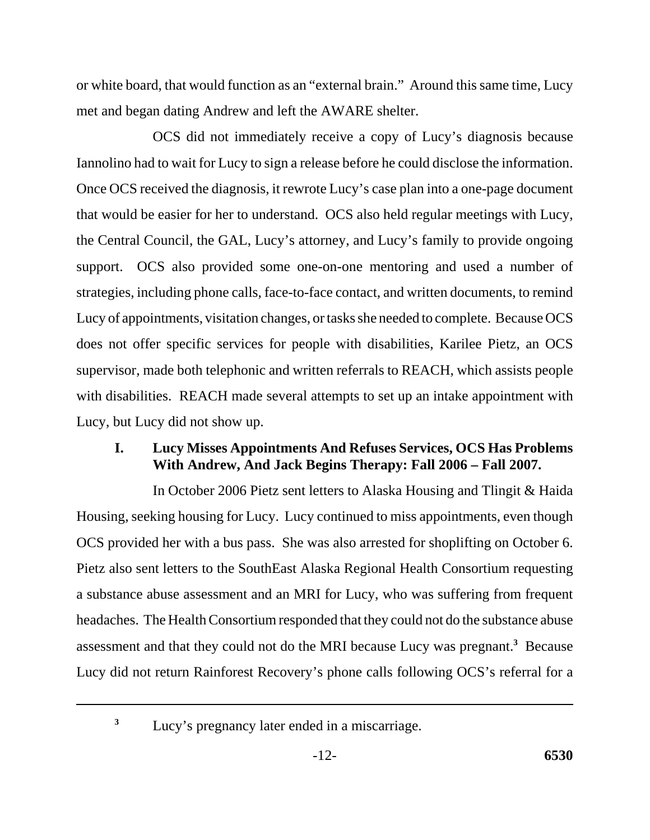or white board, that would function as an "external brain." Around this same time, Lucy met and began dating Andrew and left the AWARE shelter.

OCS did not immediately receive a copy of Lucy's diagnosis because Iannolino had to wait for Lucy to sign a release before he could disclose the information. Once OCS received the diagnosis, it rewrote Lucy's case plan into a one-page document that would be easier for her to understand. OCS also held regular meetings with Lucy, the Central Council, the GAL, Lucy's attorney, and Lucy's family to provide ongoing support. OCS also provided some one-on-one mentoring and used a number of strategies, including phone calls, face-to-face contact, and written documents, to remind Lucy of appointments, visitation changes, or tasks she needed to complete. Because OCS does not offer specific services for people with disabilities, Karilee Pietz, an OCS supervisor, made both telephonic and written referrals to REACH, which assists people with disabilities. REACH made several attempts to set up an intake appointment with Lucy, but Lucy did not show up.

# **I. Lucy Misses Appointments And Refuses Services, OCS Has Problems With Andrew, And Jack Begins Therapy: Fall 2006 – Fall 2007.**

In October 2006 Pietz sent letters to Alaska Housing and Tlingit & Haida Housing, seeking housing for Lucy. Lucy continued to miss appointments, even though OCS provided her with a bus pass. She was also arrested for shoplifting on October 6. Pietz also sent letters to the SouthEast Alaska Regional Health Consortium requesting a substance abuse assessment and an MRI for Lucy, who was suffering from frequent headaches. The Health Consortium responded that they could not do the substance abuse assessment and that they could not do the MRI because Lucy was pregnant.**<sup>3</sup>** Because Lucy did not return Rainforest Recovery's phone calls following OCS's referral for a

<sup>&</sup>lt;sup>3</sup> Lucy's pregnancy later ended in a miscarriage.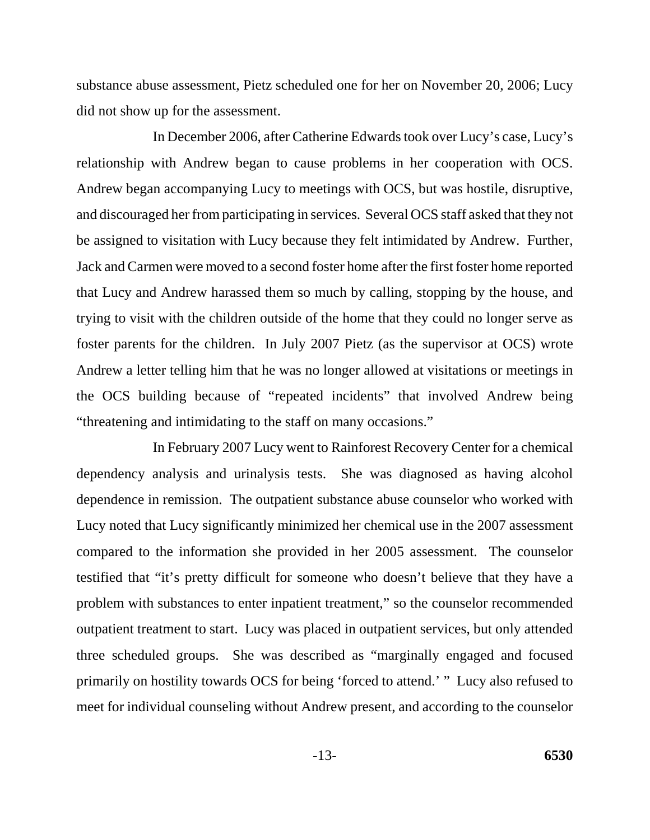substance abuse assessment, Pietz scheduled one for her on November 20, 2006; Lucy did not show up for the assessment.

In December 2006, after Catherine Edwards took over Lucy's case, Lucy's relationship with Andrew began to cause problems in her cooperation with OCS. Andrew began accompanying Lucy to meetings with OCS, but was hostile, disruptive, and discouraged her from participating in services. Several OCS staff asked that they not be assigned to visitation with Lucy because they felt intimidated by Andrew. Further, Jack and Carmen were moved to a second foster home after the first foster home reported that Lucy and Andrew harassed them so much by calling, stopping by the house, and trying to visit with the children outside of the home that they could no longer serve as foster parents for the children. In July 2007 Pietz (as the supervisor at OCS) wrote Andrew a letter telling him that he was no longer allowed at visitations or meetings in the OCS building because of "repeated incidents" that involved Andrew being "threatening and intimidating to the staff on many occasions."

In February 2007 Lucy went to Rainforest Recovery Center for a chemical dependency analysis and urinalysis tests. She was diagnosed as having alcohol dependence in remission. The outpatient substance abuse counselor who worked with Lucy noted that Lucy significantly minimized her chemical use in the 2007 assessment compared to the information she provided in her 2005 assessment. The counselor testified that "it's pretty difficult for someone who doesn't believe that they have a problem with substances to enter inpatient treatment," so the counselor recommended outpatient treatment to start. Lucy was placed in outpatient services, but only attended three scheduled groups. She was described as "marginally engaged and focused primarily on hostility towards OCS for being 'forced to attend.' " Lucy also refused to meet for individual counseling without Andrew present, and according to the counselor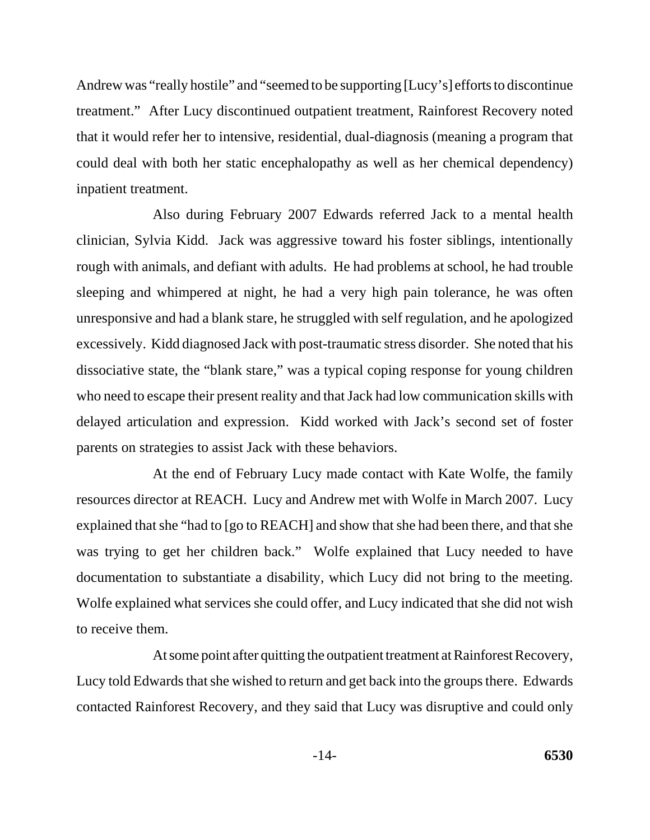Andrew was "really hostile" and "seemed to be supporting [Lucy's] efforts to discontinue treatment." After Lucy discontinued outpatient treatment, Rainforest Recovery noted that it would refer her to intensive, residential, dual-diagnosis (meaning a program that could deal with both her static encephalopathy as well as her chemical dependency) inpatient treatment.

Also during February 2007 Edwards referred Jack to a mental health clinician, Sylvia Kidd. Jack was aggressive toward his foster siblings, intentionally rough with animals, and defiant with adults. He had problems at school, he had trouble sleeping and whimpered at night, he had a very high pain tolerance, he was often unresponsive and had a blank stare, he struggled with self regulation, and he apologized excessively. Kidd diagnosed Jack with post-traumatic stress disorder. She noted that his dissociative state, the "blank stare," was a typical coping response for young children who need to escape their present reality and that Jack had low communication skills with delayed articulation and expression. Kidd worked with Jack's second set of foster parents on strategies to assist Jack with these behaviors.

At the end of February Lucy made contact with Kate Wolfe, the family resources director at REACH. Lucy and Andrew met with Wolfe in March 2007. Lucy explained that she "had to [go to REACH] and show that she had been there, and that she was trying to get her children back." Wolfe explained that Lucy needed to have documentation to substantiate a disability, which Lucy did not bring to the meeting. Wolfe explained what services she could offer, and Lucy indicated that she did not wish to receive them.

At some point after quitting the outpatient treatment at Rainforest Recovery, Lucy told Edwards that she wished to return and get back into the groups there. Edwards contacted Rainforest Recovery, and they said that Lucy was disruptive and could only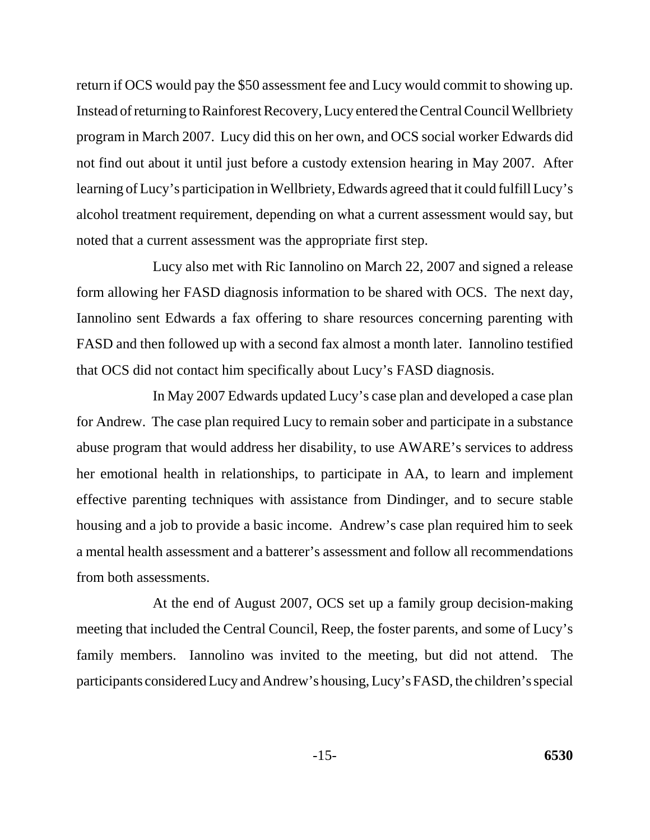return if OCS would pay the \$50 assessment fee and Lucy would commit to showing up. Instead of returning to Rainforest Recovery, Lucy entered the Central Council Wellbriety program in March 2007. Lucy did this on her own, and OCS social worker Edwards did not find out about it until just before a custody extension hearing in May 2007. After learning of Lucy's participation in Wellbriety, Edwards agreed that it could fulfill Lucy's alcohol treatment requirement, depending on what a current assessment would say, but noted that a current assessment was the appropriate first step.

Lucy also met with Ric Iannolino on March 22, 2007 and signed a release form allowing her FASD diagnosis information to be shared with OCS. The next day, Iannolino sent Edwards a fax offering to share resources concerning parenting with FASD and then followed up with a second fax almost a month later. Iannolino testified that OCS did not contact him specifically about Lucy's FASD diagnosis.

In May 2007 Edwards updated Lucy's case plan and developed a case plan for Andrew. The case plan required Lucy to remain sober and participate in a substance abuse program that would address her disability, to use AWARE's services to address her emotional health in relationships, to participate in AA, to learn and implement effective parenting techniques with assistance from Dindinger, and to secure stable housing and a job to provide a basic income. Andrew's case plan required him to seek a mental health assessment and a batterer's assessment and follow all recommendations from both assessments.

At the end of August 2007, OCS set up a family group decision-making meeting that included the Central Council, Reep, the foster parents, and some of Lucy's family members. Iannolino was invited to the meeting, but did not attend. The participants considered Lucy and Andrew's housing, Lucy's FASD, the children's special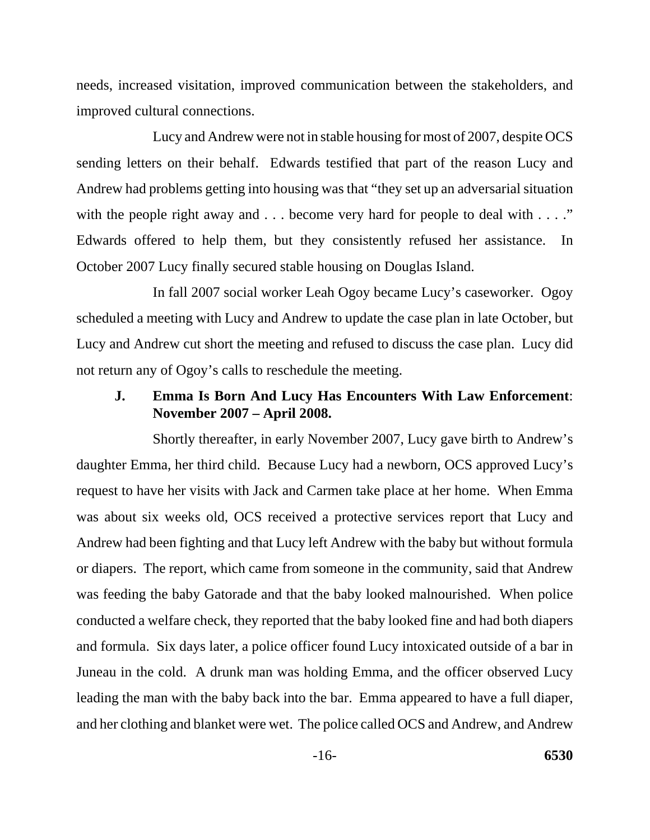needs, increased visitation, improved communication between the stakeholders, and improved cultural connections.

Lucy and Andrew were not in stable housing for most of 2007, despite OCS sending letters on their behalf. Edwards testified that part of the reason Lucy and Andrew had problems getting into housing was that "they set up an adversarial situation with the people right away and . . . become very hard for people to deal with . . . ." Edwards offered to help them, but they consistently refused her assistance. In October 2007 Lucy finally secured stable housing on Douglas Island.

In fall 2007 social worker Leah Ogoy became Lucy's caseworker. Ogoy scheduled a meeting with Lucy and Andrew to update the case plan in late October, but Lucy and Andrew cut short the meeting and refused to discuss the case plan. Lucy did not return any of Ogoy's calls to reschedule the meeting.

#### **J. Emma Is Born And Lucy Has Encounters With Law Enforcement**: **November 2007 – April 2008.**

Shortly thereafter, in early November 2007, Lucy gave birth to Andrew's daughter Emma, her third child. Because Lucy had a newborn, OCS approved Lucy's request to have her visits with Jack and Carmen take place at her home. When Emma was about six weeks old, OCS received a protective services report that Lucy and Andrew had been fighting and that Lucy left Andrew with the baby but without formula or diapers. The report, which came from someone in the community, said that Andrew was feeding the baby Gatorade and that the baby looked malnourished. When police conducted a welfare check, they reported that the baby looked fine and had both diapers and formula. Six days later, a police officer found Lucy intoxicated outside of a bar in Juneau in the cold. A drunk man was holding Emma, and the officer observed Lucy leading the man with the baby back into the bar. Emma appeared to have a full diaper, and her clothing and blanket were wet. The police called OCS and Andrew, and Andrew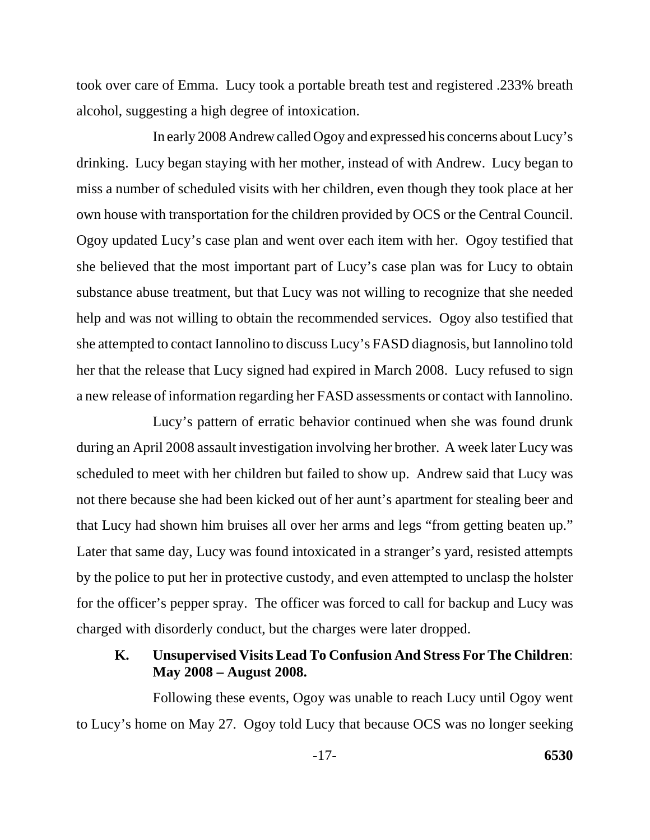took over care of Emma. Lucy took a portable breath test and registered .233% breath alcohol, suggesting a high degree of intoxication.

In early 2008 Andrew called Ogoy and expressed his concerns about Lucy's drinking. Lucy began staying with her mother, instead of with Andrew. Lucy began to miss a number of scheduled visits with her children, even though they took place at her own house with transportation for the children provided by OCS or the Central Council. Ogoy updated Lucy's case plan and went over each item with her. Ogoy testified that she believed that the most important part of Lucy's case plan was for Lucy to obtain substance abuse treatment, but that Lucy was not willing to recognize that she needed help and was not willing to obtain the recommended services. Ogoy also testified that she attempted to contact Iannolino to discuss Lucy's FASD diagnosis, but Iannolino told her that the release that Lucy signed had expired in March 2008. Lucy refused to sign a new release of information regarding her FASD assessments or contact with Iannolino.

Lucy's pattern of erratic behavior continued when she was found drunk during an April 2008 assault investigation involving her brother. A week later Lucy was scheduled to meet with her children but failed to show up. Andrew said that Lucy was not there because she had been kicked out of her aunt's apartment for stealing beer and that Lucy had shown him bruises all over her arms and legs "from getting beaten up." Later that same day, Lucy was found intoxicated in a stranger's yard, resisted attempts by the police to put her in protective custody, and even attempted to unclasp the holster for the officer's pepper spray. The officer was forced to call for backup and Lucy was charged with disorderly conduct, but the charges were later dropped.

### **K. Unsupervised Visits Lead To Confusion And Stress For The Children**: **May 2008 – August 2008.**

Following these events, Ogoy was unable to reach Lucy until Ogoy went to Lucy's home on May 27. Ogoy told Lucy that because OCS was no longer seeking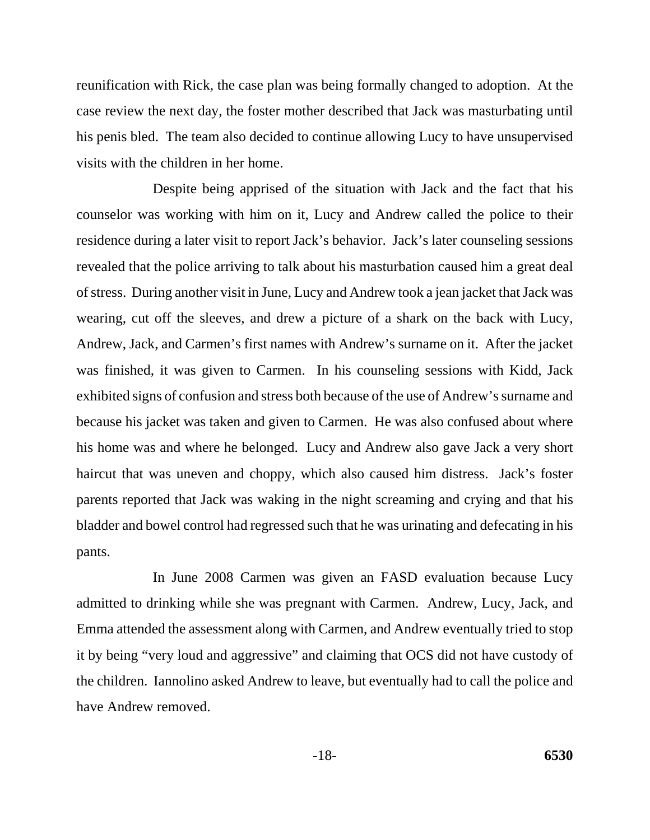reunification with Rick, the case plan was being formally changed to adoption. At the case review the next day, the foster mother described that Jack was masturbating until his penis bled. The team also decided to continue allowing Lucy to have unsupervised visits with the children in her home.

Despite being apprised of the situation with Jack and the fact that his counselor was working with him on it, Lucy and Andrew called the police to their residence during a later visit to report Jack's behavior. Jack's later counseling sessions revealed that the police arriving to talk about his masturbation caused him a great deal of stress. During another visit in June, Lucy and Andrew took a jean jacket that Jack was wearing, cut off the sleeves, and drew a picture of a shark on the back with Lucy, Andrew, Jack, and Carmen's first names with Andrew's surname on it. After the jacket was finished, it was given to Carmen. In his counseling sessions with Kidd, Jack exhibited signs of confusion and stress both because of the use of Andrew's surname and because his jacket was taken and given to Carmen. He was also confused about where his home was and where he belonged. Lucy and Andrew also gave Jack a very short haircut that was uneven and choppy, which also caused him distress. Jack's foster parents reported that Jack was waking in the night screaming and crying and that his bladder and bowel control had regressed such that he was urinating and defecating in his pants.

In June 2008 Carmen was given an FASD evaluation because Lucy admitted to drinking while she was pregnant with Carmen. Andrew, Lucy, Jack, and Emma attended the assessment along with Carmen, and Andrew eventually tried to stop it by being "very loud and aggressive" and claiming that OCS did not have custody of the children. Iannolino asked Andrew to leave, but eventually had to call the police and have Andrew removed.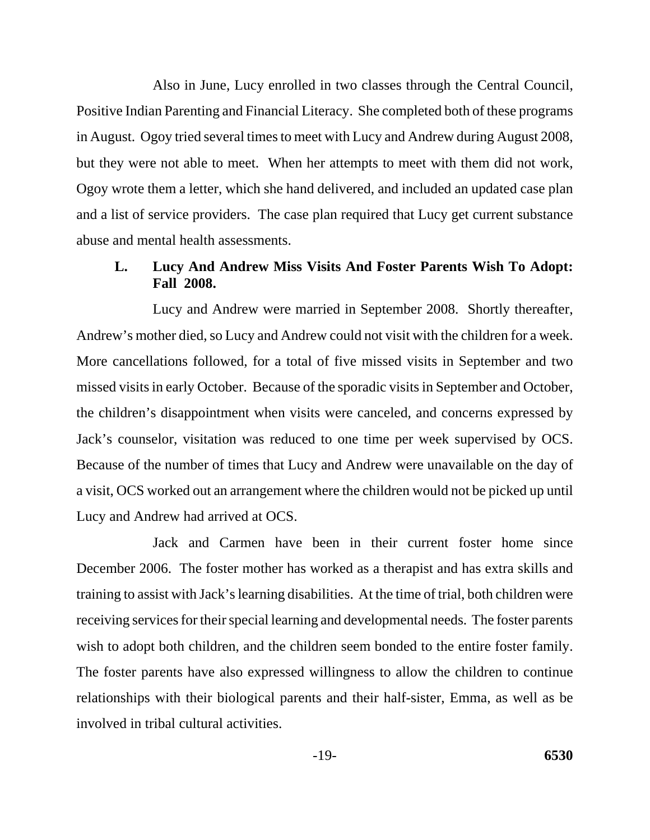Also in June, Lucy enrolled in two classes through the Central Council, Positive Indian Parenting and Financial Literacy. She completed both of these programs in August. Ogoy tried several times to meet with Lucy and Andrew during August 2008, but they were not able to meet. When her attempts to meet with them did not work, Ogoy wrote them a letter, which she hand delivered, and included an updated case plan and a list of service providers. The case plan required that Lucy get current substance abuse and mental health assessments.

#### **L. Lucy And Andrew Miss Visits And Foster Parents Wish To Adopt: Fall 2008.**

Lucy and Andrew were married in September 2008. Shortly thereafter, Andrew's mother died, so Lucy and Andrew could not visit with the children for a week. More cancellations followed, for a total of five missed visits in September and two missed visits in early October. Because of the sporadic visits in September and October, the children's disappointment when visits were canceled, and concerns expressed by Jack's counselor, visitation was reduced to one time per week supervised by OCS. Because of the number of times that Lucy and Andrew were unavailable on the day of a visit, OCS worked out an arrangement where the children would not be picked up until Lucy and Andrew had arrived at OCS.

Jack and Carmen have been in their current foster home since December 2006. The foster mother has worked as a therapist and has extra skills and training to assist with Jack's learning disabilities. At the time of trial, both children were receiving services for their special learning and developmental needs. The foster parents wish to adopt both children, and the children seem bonded to the entire foster family. The foster parents have also expressed willingness to allow the children to continue relationships with their biological parents and their half-sister, Emma, as well as be involved in tribal cultural activities.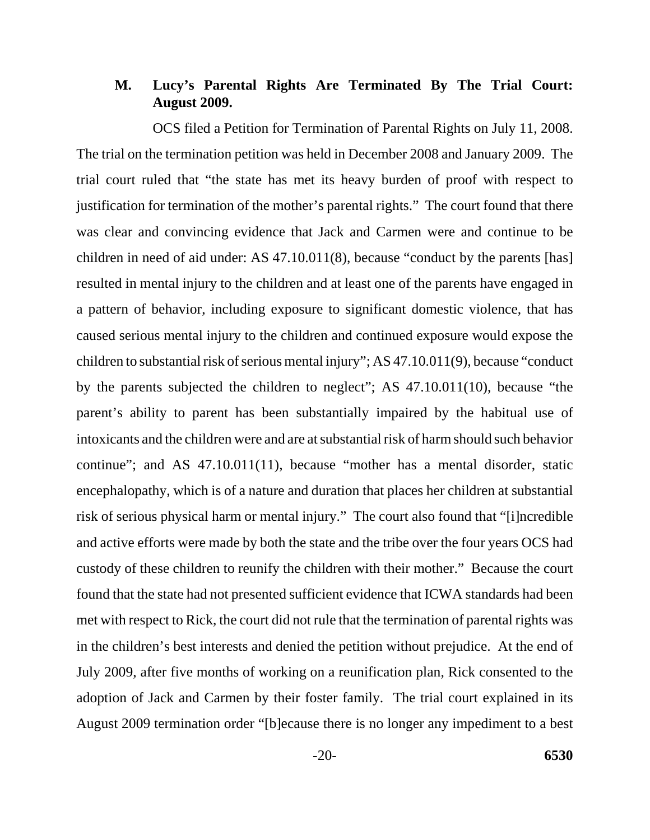### **M. Lucy's Parental Rights Are Terminated By The Trial Court: August 2009.**

OCS filed a Petition for Termination of Parental Rights on July 11, 2008. The trial on the termination petition was held in December 2008 and January 2009. The trial court ruled that "the state has met its heavy burden of proof with respect to justification for termination of the mother's parental rights." The court found that there was clear and convincing evidence that Jack and Carmen were and continue to be children in need of aid under: AS 47.10.011(8), because "conduct by the parents [has] resulted in mental injury to the children and at least one of the parents have engaged in a pattern of behavior, including exposure to significant domestic violence, that has caused serious mental injury to the children and continued exposure would expose the children to substantial risk of serious mental injury"; AS 47.10.011(9), because "conduct by the parents subjected the children to neglect"; AS 47.10.011(10), because "the parent's ability to parent has been substantially impaired by the habitual use of intoxicants and the children were and are at substantial risk of harm should such behavior continue"; and AS 47.10.011(11), because "mother has a mental disorder, static encephalopathy, which is of a nature and duration that places her children at substantial risk of serious physical harm or mental injury." The court also found that "[i]ncredible and active efforts were made by both the state and the tribe over the four years OCS had custody of these children to reunify the children with their mother." Because the court found that the state had not presented sufficient evidence that ICWA standards had been met with respect to Rick, the court did not rule that the termination of parental rights was in the children's best interests and denied the petition without prejudice. At the end of July 2009, after five months of working on a reunification plan, Rick consented to the adoption of Jack and Carmen by their foster family. The trial court explained in its August 2009 termination order "[b]ecause there is no longer any impediment to a best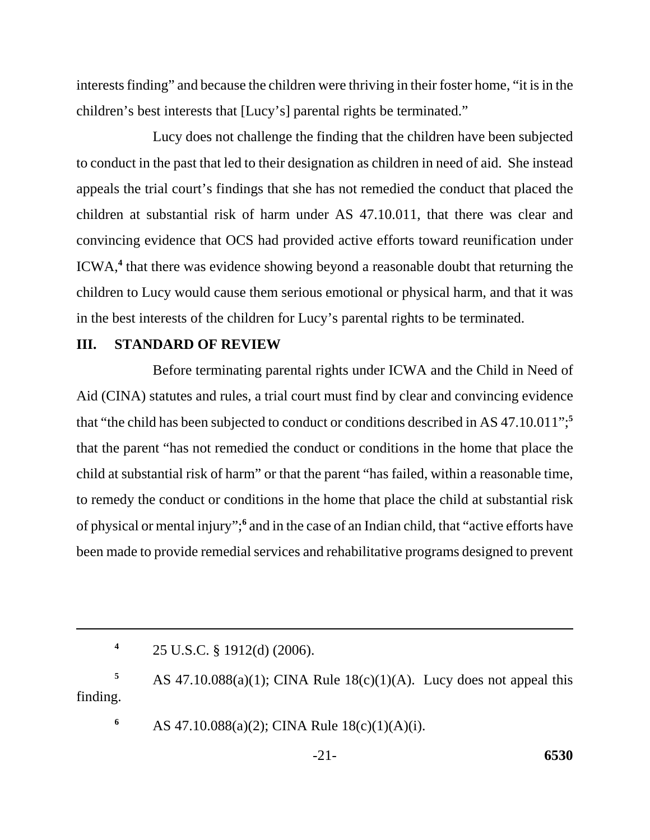interests finding" and because the children were thriving in their foster home, "it is in the children's best interests that [Lucy's] parental rights be terminated."

Lucy does not challenge the finding that the children have been subjected to conduct in the past that led to their designation as children in need of aid. She instead appeals the trial court's findings that she has not remedied the conduct that placed the children at substantial risk of harm under AS 47.10.011, that there was clear and convincing evidence that OCS had provided active efforts toward reunification under ICWA,**<sup>4</sup>** that there was evidence showing beyond a reasonable doubt that returning the children to Lucy would cause them serious emotional or physical harm, and that it was in the best interests of the children for Lucy's parental rights to be terminated.

#### **III. STANDARD OF REVIEW**

Before terminating parental rights under ICWA and the Child in Need of Aid (CINA) statutes and rules, a trial court must find by clear and convincing evidence that "the child has been subjected to conduct or conditions described in AS 47.10.011";**<sup>5</sup>** that the parent "has not remedied the conduct or conditions in the home that place the child at substantial risk of harm" or that the parent "has failed, within a reasonable time, to remedy the conduct or conditions in the home that place the child at substantial risk of physical or mental injury";<sup>6</sup> and in the case of an Indian child, that "active efforts have been made to provide remedial services and rehabilitative programs designed to prevent

**<sup>4</sup>**25 U.S.C. § 1912(d) (2006).

**5** AS 47.10.088(a)(1); CINA Rule 18(c)(1)(A). Lucy does not appeal this finding.

**6** AS 47.10.088(a)(2); CINA Rule  $18(c)(1)(A)(i)$ .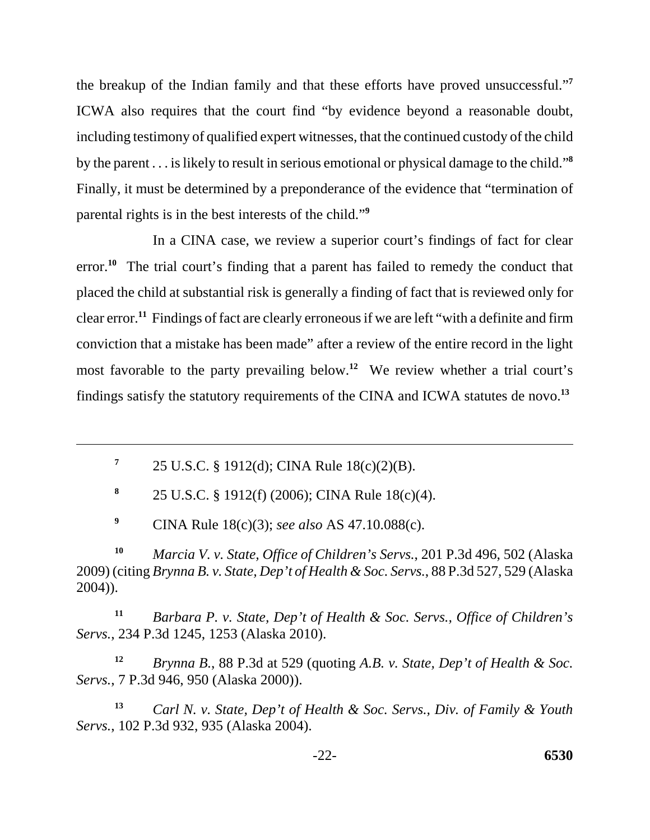the breakup of the Indian family and that these efforts have proved unsuccessful."**<sup>7</sup>** ICWA also requires that the court find "by evidence beyond a reasonable doubt, including testimony of qualified expert witnesses, that the continued custody of the child by the parent . . . is likely to result in serious emotional or physical damage to the child."**<sup>8</sup>** Finally, it must be determined by a preponderance of the evidence that "termination of parental rights is in the best interests of the child."**<sup>9</sup>**

In a CINA case, we review a superior court's findings of fact for clear error.<sup>10</sup> The trial court's finding that a parent has failed to remedy the conduct that placed the child at substantial risk is generally a finding of fact that is reviewed only for clear error.**<sup>11</sup>** Findings of fact are clearly erroneous if we are left "with a definite and firm conviction that a mistake has been made" after a review of the entire record in the light most favorable to the party prevailing below.**<sup>12</sup>** We review whether a trial court's findings satisfy the statutory requirements of the CINA and ICWA statutes de novo.**<sup>13</sup>**

**<sup>7</sup>**25 U.S.C. § 1912(d); CINA Rule 18(c)(2)(B).

**<sup>8</sup>**25 U.S.C. § 1912(f) (2006); CINA Rule 18(c)(4).

**<sup>9</sup>**CINA Rule 18(c)(3); *see also* AS 47.10.088(c).

**<sup>10</sup>***Marcia V. v. State, Office of Children's Servs.*, 201 P.3d 496, 502 (Alaska 2009) (citing *Brynna B. v. State, Dep't of Health & Soc. Servs.*, 88 P.3d 527, 529 (Alaska 2004)).

**<sup>11</sup>***Barbara P. v. State, Dep't of Health & Soc. Servs., Office of Children's Servs.*, 234 P.3d 1245, 1253 (Alaska 2010).

**<sup>12</sup>***Brynna B.*, 88 P.3d at 529 (quoting *A.B. v. State, Dep't of Health & Soc. Servs.*, 7 P.3d 946, 950 (Alaska 2000)).

**<sup>13</sup>***Carl N. v. State, Dep't of Health & Soc. Servs., Div. of Family & Youth Servs.*, 102 P.3d 932, 935 (Alaska 2004).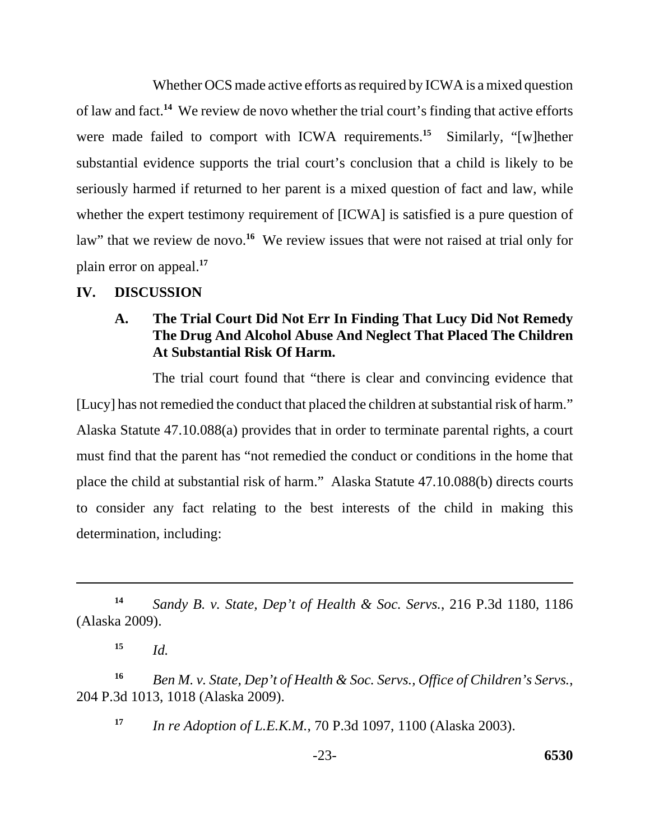Whether OCS made active efforts as required by ICWA is a mixed question of law and fact.**<sup>14</sup>** We review de novo whether the trial court's finding that active efforts were made failed to comport with ICWA requirements.<sup>15</sup> Similarly, "[w]hether substantial evidence supports the trial court's conclusion that a child is likely to be seriously harmed if returned to her parent is a mixed question of fact and law, while whether the expert testimony requirement of [ICWA] is satisfied is a pure question of law" that we review de novo.<sup>16</sup> We review issues that were not raised at trial only for plain error on appeal.**<sup>17</sup>**

#### **IV. DISCUSSION**

# **A. The Trial Court Did Not Err In Finding That Lucy Did Not Remedy The Drug And Alcohol Abuse And Neglect That Placed The Children At Substantial Risk Of Harm.**

The trial court found that "there is clear and convincing evidence that [Lucy] has not remedied the conduct that placed the children at substantial risk of harm." Alaska Statute 47.10.088(a) provides that in order to terminate parental rights, a court must find that the parent has "not remedied the conduct or conditions in the home that place the child at substantial risk of harm." Alaska Statute 47.10.088(b) directs courts to consider any fact relating to the best interests of the child in making this determination, including:

**<sup>14</sup>***Sandy B. v. State, Dep't of Health & Soc. Servs.*, 216 P.3d 1180, 1186 (Alaska 2009).

 $15$  *Id.* 

**16** *Ben M. v. State, Dep't of Health & Soc. Servs., Office of Children's Servs.*, 204 P.3d 1013, 1018 (Alaska 2009).

**<sup>17</sup>***In re Adoption of L.E.K.M.*, 70 P.3d 1097, 1100 (Alaska 2003).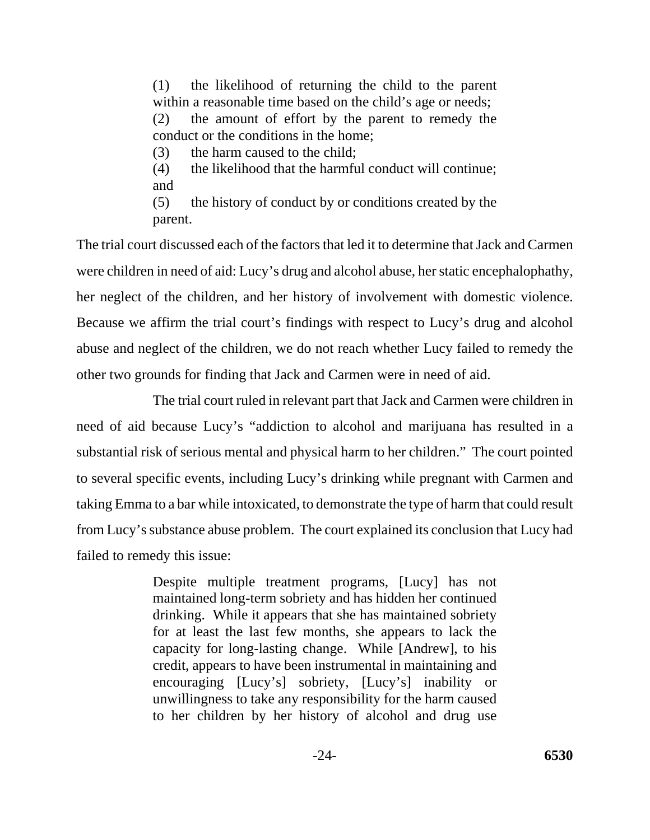(1) the likelihood of returning the child to the parent within a reasonable time based on the child's age or needs; (2) the amount of effort by the parent to remedy the conduct or the conditions in the home; (3) the harm caused to the child; (4) the likelihood that the harmful conduct will continue;

and (5) the history of conduct by or conditions created by the parent.

The trial court discussed each of the factors that led it to determine that Jack and Carmen were children in need of aid: Lucy's drug and alcohol abuse, her static encephalophathy, her neglect of the children, and her history of involvement with domestic violence. Because we affirm the trial court's findings with respect to Lucy's drug and alcohol abuse and neglect of the children, we do not reach whether Lucy failed to remedy the other two grounds for finding that Jack and Carmen were in need of aid.

The trial court ruled in relevant part that Jack and Carmen were children in need of aid because Lucy's "addiction to alcohol and marijuana has resulted in a substantial risk of serious mental and physical harm to her children." The court pointed to several specific events, including Lucy's drinking while pregnant with Carmen and taking Emma to a bar while intoxicated, to demonstrate the type of harm that could result from Lucy's substance abuse problem. The court explained its conclusion that Lucy had failed to remedy this issue:

> Despite multiple treatment programs, [Lucy] has not maintained long-term sobriety and has hidden her continued drinking. While it appears that she has maintained sobriety for at least the last few months, she appears to lack the capacity for long-lasting change. While [Andrew], to his credit, appears to have been instrumental in maintaining and encouraging [Lucy's] sobriety, [Lucy's] inability or unwillingness to take any responsibility for the harm caused to her children by her history of alcohol and drug use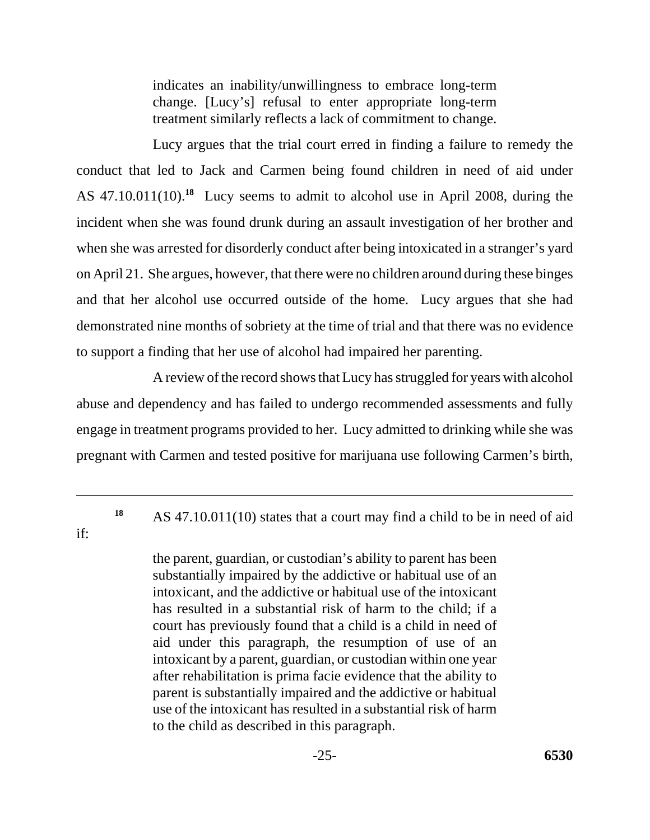indicates an inability/unwillingness to embrace long-term change. [Lucy's] refusal to enter appropriate long-term treatment similarly reflects a lack of commitment to change.

Lucy argues that the trial court erred in finding a failure to remedy the conduct that led to Jack and Carmen being found children in need of aid under AS 47.10.011(10).**<sup>18</sup>** Lucy seems to admit to alcohol use in April 2008, during the incident when she was found drunk during an assault investigation of her brother and when she was arrested for disorderly conduct after being intoxicated in a stranger's yard on April 21. She argues, however, that there were no children around during these binges and that her alcohol use occurred outside of the home. Lucy argues that she had demonstrated nine months of sobriety at the time of trial and that there was no evidence to support a finding that her use of alcohol had impaired her parenting.

A review of the record shows that Lucy has struggled for years with alcohol abuse and dependency and has failed to undergo recommended assessments and fully engage in treatment programs provided to her. Lucy admitted to drinking while she was pregnant with Carmen and tested positive for marijuana use following Carmen's birth,

**<sup>18</sup>**AS 47.10.011(10) states that a court may find a child to be in need of aid

if:

the parent, guardian, or custodian's ability to parent has been substantially impaired by the addictive or habitual use of an intoxicant, and the addictive or habitual use of the intoxicant has resulted in a substantial risk of harm to the child; if a court has previously found that a child is a child in need of aid under this paragraph, the resumption of use of an intoxicant by a parent, guardian, or custodian within one year after rehabilitation is prima facie evidence that the ability to parent is substantially impaired and the addictive or habitual use of the intoxicant has resulted in a substantial risk of harm to the child as described in this paragraph.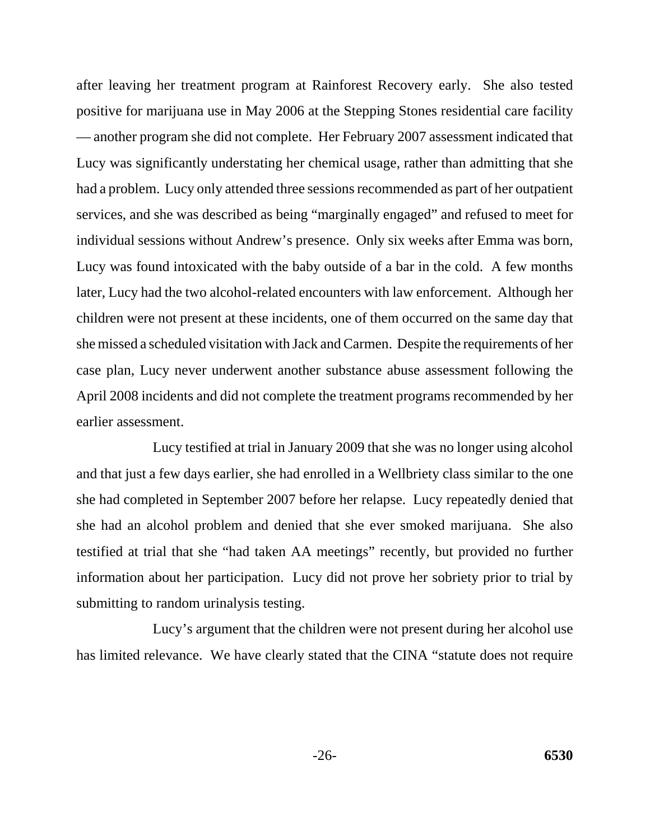after leaving her treatment program at Rainforest Recovery early. She also tested positive for marijuana use in May 2006 at the Stepping Stones residential care facility — another program she did not complete. Her February 2007 assessment indicated that Lucy was significantly understating her chemical usage, rather than admitting that she had a problem. Lucy only attended three sessions recommended as part of her outpatient services, and she was described as being "marginally engaged" and refused to meet for individual sessions without Andrew's presence. Only six weeks after Emma was born, Lucy was found intoxicated with the baby outside of a bar in the cold. A few months later, Lucy had the two alcohol-related encounters with law enforcement. Although her children were not present at these incidents, one of them occurred on the same day that she missed a scheduled visitation with Jack and Carmen. Despite the requirements of her case plan, Lucy never underwent another substance abuse assessment following the April 2008 incidents and did not complete the treatment programs recommended by her earlier assessment.

Lucy testified at trial in January 2009 that she was no longer using alcohol and that just a few days earlier, she had enrolled in a Wellbriety class similar to the one she had completed in September 2007 before her relapse. Lucy repeatedly denied that she had an alcohol problem and denied that she ever smoked marijuana. She also testified at trial that she "had taken AA meetings" recently, but provided no further information about her participation. Lucy did not prove her sobriety prior to trial by submitting to random urinalysis testing.

Lucy's argument that the children were not present during her alcohol use has limited relevance. We have clearly stated that the CINA "statute does not require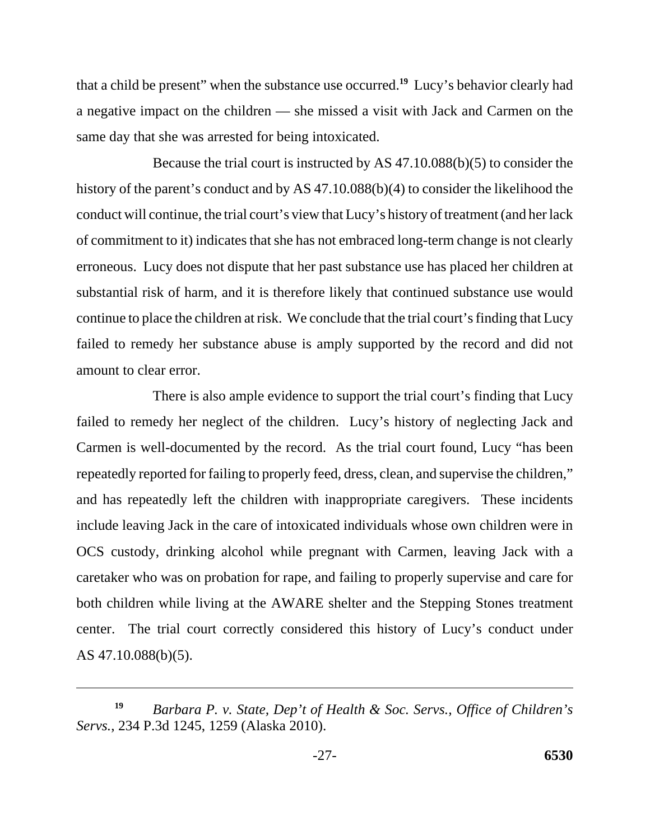that a child be present" when the substance use occurred.**<sup>19</sup>** Lucy's behavior clearly had a negative impact on the children — she missed a visit with Jack and Carmen on the same day that she was arrested for being intoxicated.

Because the trial court is instructed by AS 47.10.088(b)(5) to consider the history of the parent's conduct and by AS 47.10.088(b)(4) to consider the likelihood the conduct will continue, the trial court's view that Lucy's history of treatment (and her lack of commitment to it) indicates that she has not embraced long-term change is not clearly erroneous. Lucy does not dispute that her past substance use has placed her children at substantial risk of harm, and it is therefore likely that continued substance use would continue to place the children at risk. We conclude that the trial court's finding that Lucy failed to remedy her substance abuse is amply supported by the record and did not amount to clear error.

There is also ample evidence to support the trial court's finding that Lucy failed to remedy her neglect of the children. Lucy's history of neglecting Jack and Carmen is well-documented by the record. As the trial court found, Lucy "has been repeatedly reported for failing to properly feed, dress, clean, and supervise the children," and has repeatedly left the children with inappropriate caregivers. These incidents include leaving Jack in the care of intoxicated individuals whose own children were in OCS custody, drinking alcohol while pregnant with Carmen, leaving Jack with a caretaker who was on probation for rape, and failing to properly supervise and care for both children while living at the AWARE shelter and the Stepping Stones treatment center. The trial court correctly considered this history of Lucy's conduct under AS 47.10.088(b)(5).

*Barbara P. v. State, Dep't of Health & Soc. Servs., Office of Children's Servs.*, 234 P.3d 1245, 1259 (Alaska 2010). **19**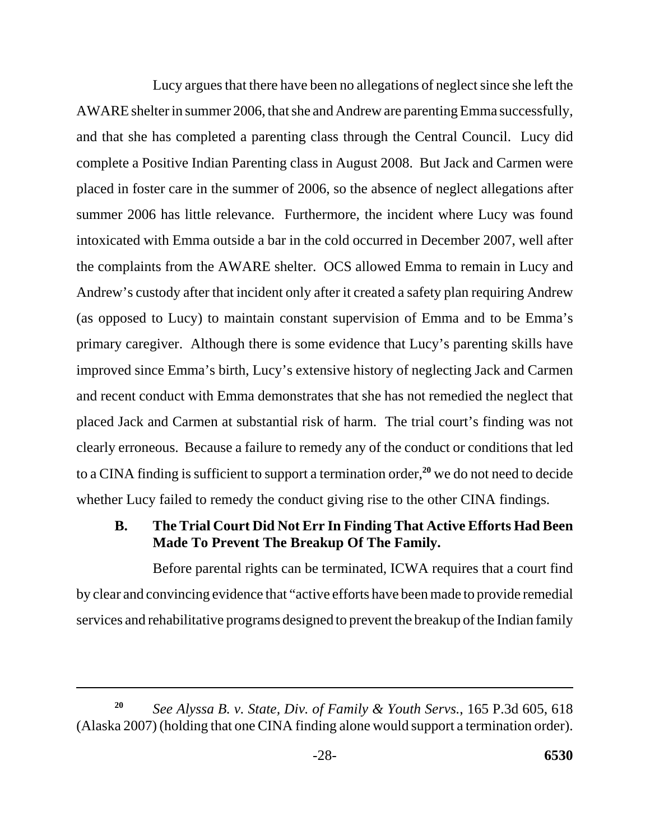Lucy argues that there have been no allegations of neglect since she left the AWARE shelter in summer 2006, that she and Andrew are parenting Emma successfully, and that she has completed a parenting class through the Central Council. Lucy did complete a Positive Indian Parenting class in August 2008. But Jack and Carmen were placed in foster care in the summer of 2006, so the absence of neglect allegations after summer 2006 has little relevance. Furthermore, the incident where Lucy was found intoxicated with Emma outside a bar in the cold occurred in December 2007, well after the complaints from the AWARE shelter. OCS allowed Emma to remain in Lucy and Andrew's custody after that incident only after it created a safety plan requiring Andrew (as opposed to Lucy) to maintain constant supervision of Emma and to be Emma's primary caregiver. Although there is some evidence that Lucy's parenting skills have improved since Emma's birth, Lucy's extensive history of neglecting Jack and Carmen and recent conduct with Emma demonstrates that she has not remedied the neglect that placed Jack and Carmen at substantial risk of harm. The trial court's finding was not clearly erroneous. Because a failure to remedy any of the conduct or conditions that led to a CINA finding is sufficient to support a termination order,**<sup>20</sup>** we do not need to decide whether Lucy failed to remedy the conduct giving rise to the other CINA findings.

# **B. The Trial Court Did Not Err In Finding That Active Efforts Had Been Made To Prevent The Breakup Of The Family.**

Before parental rights can be terminated, ICWA requires that a court find by clear and convincing evidence that "active efforts have been made to provide remedial services and rehabilitative programs designed to prevent the breakup of the Indian family

*See Alyssa B. v. State, Div. of Family & Youth Servs.*, 165 P.3d 605, 618 (Alaska 2007) (holding that one CINA finding alone would support a termination order). **20**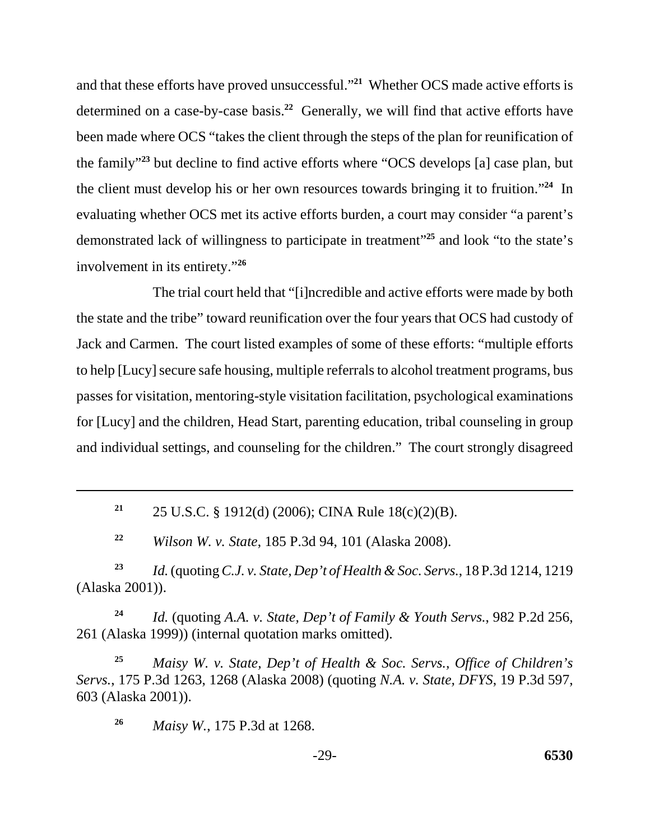and that these efforts have proved unsuccessful."**<sup>21</sup>** Whether OCS made active efforts is determined on a case-by-case basis.**<sup>22</sup>** Generally, we will find that active efforts have been made where OCS "takes the client through the steps of the plan for reunification of the family"**<sup>23</sup>** but decline to find active efforts where "OCS develops [a] case plan, but the client must develop his or her own resources towards bringing it to fruition."**<sup>24</sup>** In evaluating whether OCS met its active efforts burden, a court may consider "a parent's demonstrated lack of willingness to participate in treatment"**<sup>25</sup>** and look "to the state's involvement in its entirety."**<sup>26</sup>**

The trial court held that "[i]ncredible and active efforts were made by both the state and the tribe" toward reunification over the four years that OCS had custody of Jack and Carmen. The court listed examples of some of these efforts: "multiple efforts to help [Lucy] secure safe housing, multiple referrals to alcohol treatment programs, bus passes for visitation, mentoring-style visitation facilitation, psychological examinations for [Lucy] and the children, Head Start, parenting education, tribal counseling in group and individual settings, and counseling for the children." The court strongly disagreed

**<sup>21</sup>**25 U.S.C. § 1912(d) (2006); CINA Rule 18(c)(2)(B).

**<sup>22</sup>***Wilson W. v. State*, 185 P.3d 94, 101 (Alaska 2008).

**<sup>23</sup>***Id.* (quoting *C.J. v. State, Dep't of Health & Soc. Servs.*, 18 P.3d 1214, 1219 (Alaska 2001)).

**<sup>24</sup>***Id.* (quoting *A.A. v. State, Dep't of Family & Youth Servs.*, 982 P.2d 256, 261 (Alaska 1999)) (internal quotation marks omitted).

**<sup>25</sup>***Maisy W. v. State, Dep't of Health & Soc. Servs., Office of Children's Servs.*, 175 P.3d 1263, 1268 (Alaska 2008) (quoting *N.A. v. State, DFYS*, 19 P.3d 597, 603 (Alaska 2001)).

**<sup>26</sup>***Maisy W.*, 175 P.3d at 1268.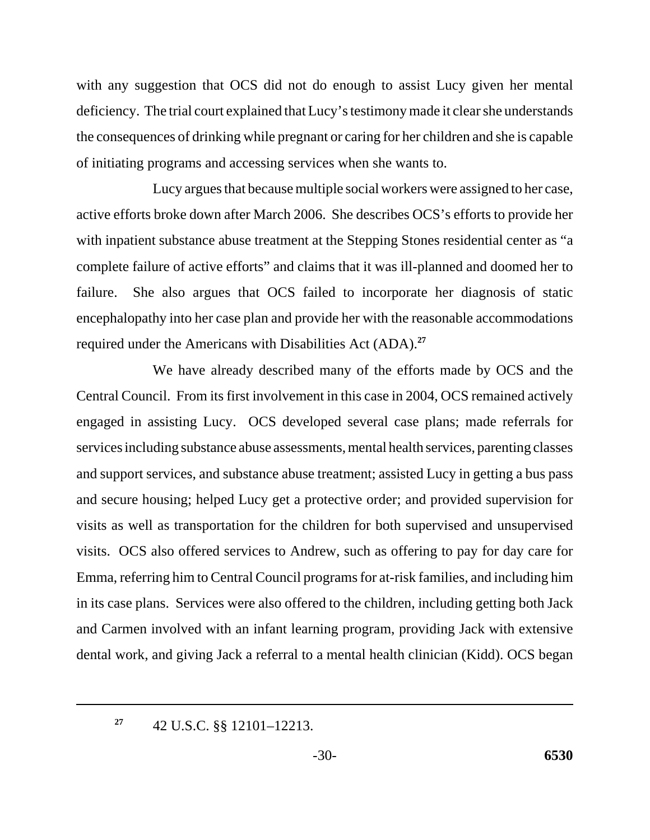with any suggestion that OCS did not do enough to assist Lucy given her mental deficiency. The trial court explained that Lucy's testimony made it clear she understands the consequences of drinking while pregnant or caring for her children and she is capable of initiating programs and accessing services when she wants to.

Lucy argues that because multiple social workers were assigned to her case, active efforts broke down after March 2006. She describes OCS's efforts to provide her with inpatient substance abuse treatment at the Stepping Stones residential center as "a complete failure of active efforts" and claims that it was ill-planned and doomed her to failure. She also argues that OCS failed to incorporate her diagnosis of static encephalopathy into her case plan and provide her with the reasonable accommodations required under the Americans with Disabilities Act (ADA).**<sup>27</sup>**

We have already described many of the efforts made by OCS and the Central Council. From its first involvement in this case in 2004, OCS remained actively engaged in assisting Lucy. OCS developed several case plans; made referrals for services including substance abuse assessments, mental health services, parenting classes and support services, and substance abuse treatment; assisted Lucy in getting a bus pass and secure housing; helped Lucy get a protective order; and provided supervision for visits as well as transportation for the children for both supervised and unsupervised visits. OCS also offered services to Andrew, such as offering to pay for day care for Emma, referring him to Central Council programs for at-risk families, and including him in its case plans. Services were also offered to the children, including getting both Jack and Carmen involved with an infant learning program, providing Jack with extensive dental work, and giving Jack a referral to a mental health clinician (Kidd). OCS began

**<sup>27</sup>**42 U.S.C. §§ 12101–12213.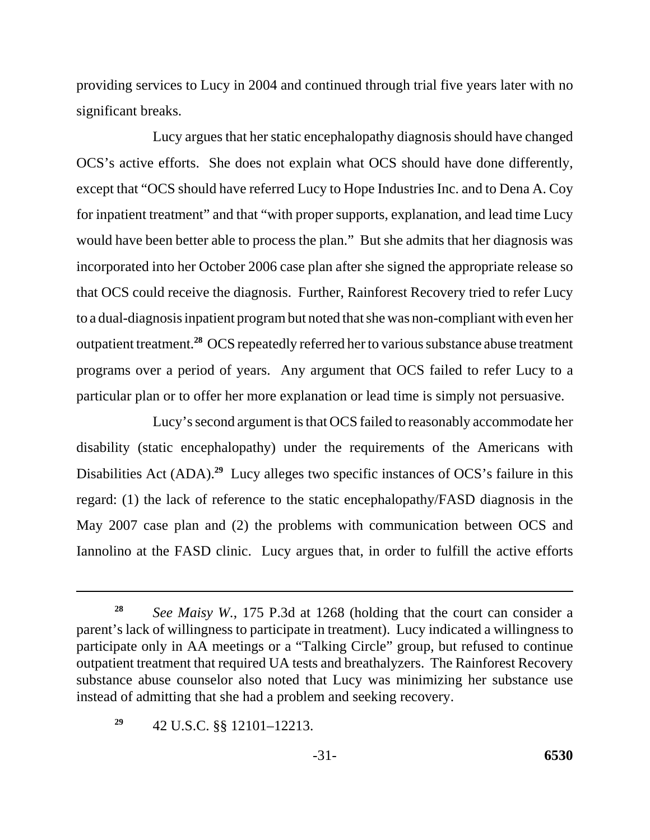providing services to Lucy in 2004 and continued through trial five years later with no significant breaks.

Lucy argues that her static encephalopathy diagnosis should have changed OCS's active efforts. She does not explain what OCS should have done differently, except that "OCS should have referred Lucy to Hope Industries Inc. and to Dena A. Coy for inpatient treatment" and that "with proper supports, explanation, and lead time Lucy would have been better able to process the plan." But she admits that her diagnosis was incorporated into her October 2006 case plan after she signed the appropriate release so that OCS could receive the diagnosis. Further, Rainforest Recovery tried to refer Lucy to a dual-diagnosis inpatient program but noted that she was non-compliant with even her outpatient treatment.**<sup>28</sup>** OCS repeatedly referred her to various substance abuse treatment programs over a period of years. Any argument that OCS failed to refer Lucy to a particular plan or to offer her more explanation or lead time is simply not persuasive.

Lucy's second argument is that OCS failed to reasonably accommodate her disability (static encephalopathy) under the requirements of the Americans with Disabilities Act (ADA).<sup>29</sup> Lucy alleges two specific instances of OCS's failure in this regard: (1) the lack of reference to the static encephalopathy/FASD diagnosis in the May 2007 case plan and (2) the problems with communication between OCS and Iannolino at the FASD clinic. Lucy argues that, in order to fulfill the active efforts

**<sup>28</sup>***See Maisy W.*, 175 P.3d at 1268 (holding that the court can consider a parent's lack of willingness to participate in treatment). Lucy indicated a willingness to participate only in AA meetings or a "Talking Circle" group, but refused to continue outpatient treatment that required UA tests and breathalyzers. The Rainforest Recovery substance abuse counselor also noted that Lucy was minimizing her substance use instead of admitting that she had a problem and seeking recovery.

**<sup>29</sup>**42 U.S.C. §§ 12101–12213.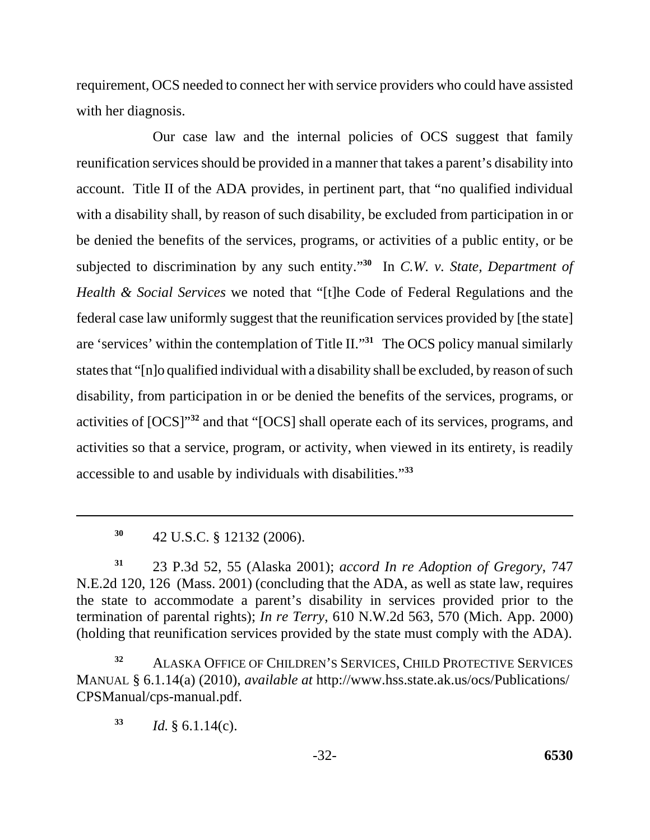requirement, OCS needed to connect her with service providers who could have assisted with her diagnosis.

 accessible to and usable by individuals with disabilities."**<sup>33</sup>** Our case law and the internal policies of OCS suggest that family reunification services should be provided in a manner that takes a parent's disability into account. Title II of the ADA provides, in pertinent part, that "no qualified individual with a disability shall, by reason of such disability, be excluded from participation in or be denied the benefits of the services, programs, or activities of a public entity, or be subjected to discrimination by any such entity."**<sup>30</sup>** In *C.W. v. State, Department of Health & Social Services* we noted that "[t]he Code of Federal Regulations and the federal case law uniformly suggest that the reunification services provided by [the state] are 'services' within the contemplation of Title II."**<sup>31</sup>** The OCS policy manual similarly states that "[n]o qualified individual with a disability shall be excluded, by reason of such disability, from participation in or be denied the benefits of the services, programs, or activities of [OCS]"**<sup>32</sup>** and that "[OCS] shall operate each of its services, programs, and activities so that a service, program, or activity, when viewed in its entirety, is readily

**<sup>31</sup>**23 P.3d 52, 55 (Alaska 2001); *accord In re Adoption of Gregory*, 747 N.E.2d 120, 126 (Mass. 2001) (concluding that the ADA, as well as state law, requires the state to accommodate a parent's disability in services provided prior to the termination of parental rights); *In re Terry*, 610 N.W.2d 563, 570 (Mich. App. 2000) (holding that reunification services provided by the state must comply with the ADA).

**<sup>32</sup>**ALASKA OFFICE OF CHILDREN'S SERVICES, CHILD PROTECTIVE SERVICES MANUAL § 6.1.14(a) (2010), *available at* http://www.hss.state.ak.us/ocs/Publications/ CPSManual/cps-manual.pdf.

 $33$  *Id.*  $\frac{6}{3}$  6.1.14(c).

**<sup>30</sup>**42 U.S.C. § 12132 (2006).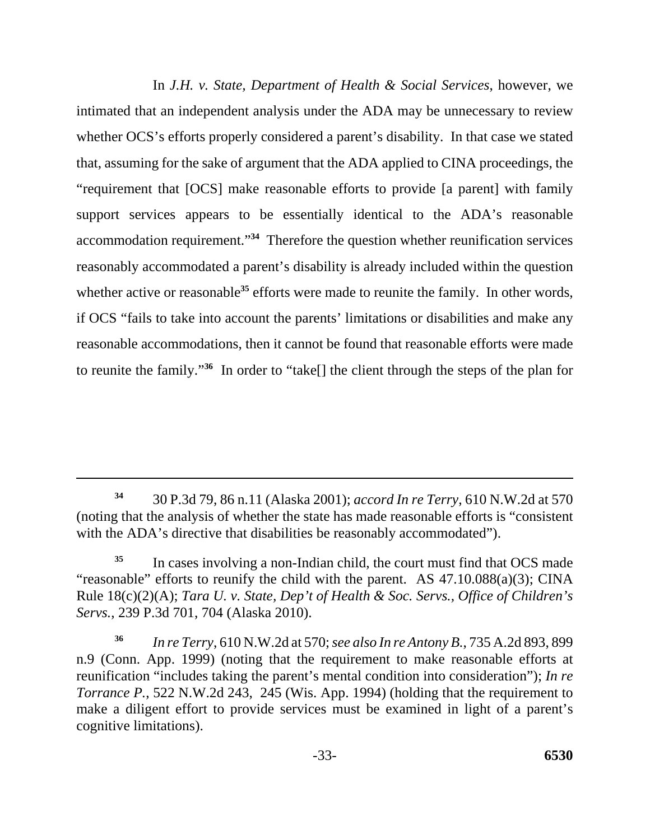In *J.H. v. State, Department of Health & Social Services*, however, we intimated that an independent analysis under the ADA may be unnecessary to review whether OCS's efforts properly considered a parent's disability. In that case we stated that, assuming for the sake of argument that the ADA applied to CINA proceedings, the "requirement that [OCS] make reasonable efforts to provide [a parent] with family support services appears to be essentially identical to the ADA's reasonable accommodation requirement."**<sup>34</sup>** Therefore the question whether reunification services reasonably accommodated a parent's disability is already included within the question whether active or reasonable<sup>35</sup> efforts were made to reunite the family. In other words, if OCS "fails to take into account the parents' limitations or disabilities and make any reasonable accommodations, then it cannot be found that reasonable efforts were made to reunite the family."**<sup>36</sup>** In order to "take[] the client through the steps of the plan for

**<sup>34</sup>**30 P.3d 79, 86 n.11 (Alaska 2001); *accord In re Terry*, 610 N.W.2d at 570 (noting that the analysis of whether the state has made reasonable efforts is "consistent with the ADA's directive that disabilities be reasonably accommodated").

<sup>&</sup>lt;sup>35</sup> In cases involving a non-Indian child, the court must find that OCS made "reasonable" efforts to reunify the child with the parent. AS 47.10.088(a)(3); CINA Rule 18(c)(2)(A); *Tara U. v. State, Dep't of Health & Soc. Servs., Office of Children's Servs.*, 239 P.3d 701, 704 (Alaska 2010).

**<sup>36</sup>***In re Terry*, 610 N.W.2d at 570; *see also In re Antony B.*, 735 A.2d 893, 899 n.9 (Conn. App. 1999) (noting that the requirement to make reasonable efforts at reunification "includes taking the parent's mental condition into consideration"); *In re Torrance P.*, 522 N.W.2d 243, 245 (Wis. App. 1994) (holding that the requirement to make a diligent effort to provide services must be examined in light of a parent's cognitive limitations).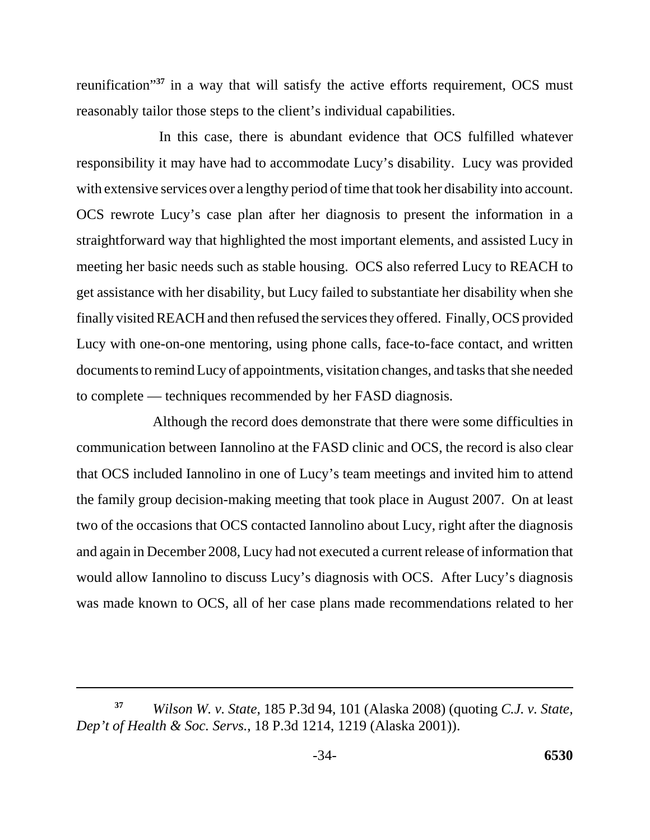reunification"**<sup>37</sup>** in a way that will satisfy the active efforts requirement, OCS must reasonably tailor those steps to the client's individual capabilities.

 In this case, there is abundant evidence that OCS fulfilled whatever responsibility it may have had to accommodate Lucy's disability. Lucy was provided with extensive services over a lengthy period of time that took her disability into account. OCS rewrote Lucy's case plan after her diagnosis to present the information in a straightforward way that highlighted the most important elements, and assisted Lucy in meeting her basic needs such as stable housing. OCS also referred Lucy to REACH to get assistance with her disability, but Lucy failed to substantiate her disability when she finally visited REACH and then refused the services they offered. Finally, OCS provided Lucy with one-on-one mentoring, using phone calls, face-to-face contact, and written documents to remind Lucy of appointments, visitation changes, and tasks that she needed to complete — techniques recommended by her FASD diagnosis.

Although the record does demonstrate that there were some difficulties in communication between Iannolino at the FASD clinic and OCS, the record is also clear that OCS included Iannolino in one of Lucy's team meetings and invited him to attend the family group decision-making meeting that took place in August 2007. On at least two of the occasions that OCS contacted Iannolino about Lucy, right after the diagnosis and again in December 2008, Lucy had not executed a current release of information that would allow Iannolino to discuss Lucy's diagnosis with OCS. After Lucy's diagnosis was made known to OCS, all of her case plans made recommendations related to her

*Wilson W. v. State*, 185 P.3d 94, 101 (Alaska 2008) (quoting *C.J. v. State, Dep't of Health & Soc. Servs.*, 18 P.3d 1214, 1219 (Alaska 2001)). **37**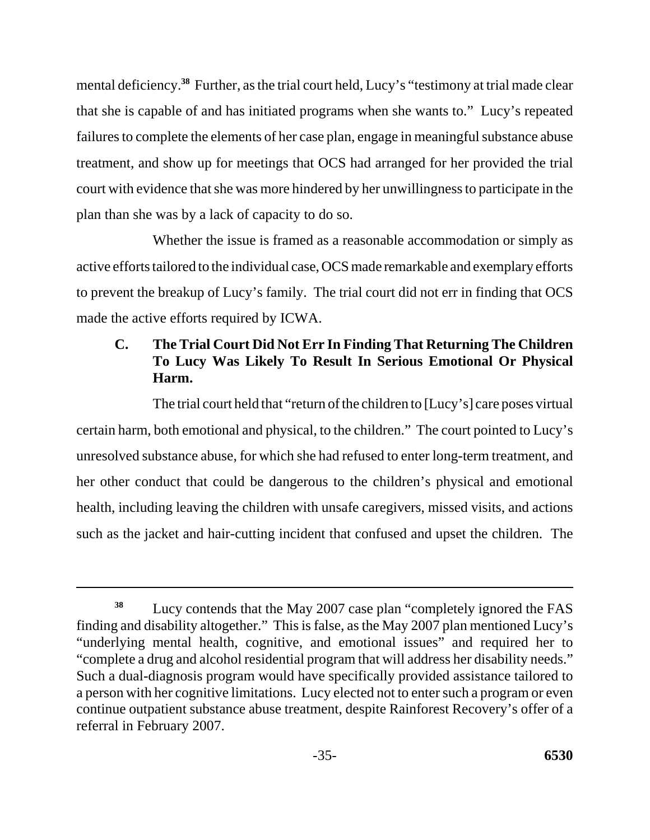mental deficiency.<sup>38</sup> Further, as the trial court held, Lucy's "testimony at trial made clear that she is capable of and has initiated programs when she wants to." Lucy's repeated failures to complete the elements of her case plan, engage in meaningful substance abuse treatment, and show up for meetings that OCS had arranged for her provided the trial court with evidence that she was more hindered by her unwillingness to participate in the plan than she was by a lack of capacity to do so.

Whether the issue is framed as a reasonable accommodation or simply as active efforts tailored to the individual case, OCS made remarkable and exemplary efforts to prevent the breakup of Lucy's family. The trial court did not err in finding that OCS made the active efforts required by ICWA.

# **C. The Trial Court Did Not Err In Finding That Returning The Children To Lucy Was Likely To Result In Serious Emotional Or Physical Harm.**

The trial court held that "return of the children to [Lucy's] care poses virtual certain harm, both emotional and physical, to the children." The court pointed to Lucy's unresolved substance abuse, for which she had refused to enter long-term treatment, and her other conduct that could be dangerous to the children's physical and emotional health, including leaving the children with unsafe caregivers, missed visits, and actions such as the jacket and hair-cutting incident that confused and upset the children. The

<sup>&</sup>lt;sup>38</sup> Lucy contends that the May 2007 case plan "completely ignored the FAS finding and disability altogether." This is false, as the May 2007 plan mentioned Lucy's "underlying mental health, cognitive, and emotional issues" and required her to "complete a drug and alcohol residential program that will address her disability needs." Such a dual-diagnosis program would have specifically provided assistance tailored to a person with her cognitive limitations. Lucy elected not to enter such a program or even continue outpatient substance abuse treatment, despite Rainforest Recovery's offer of a referral in February 2007.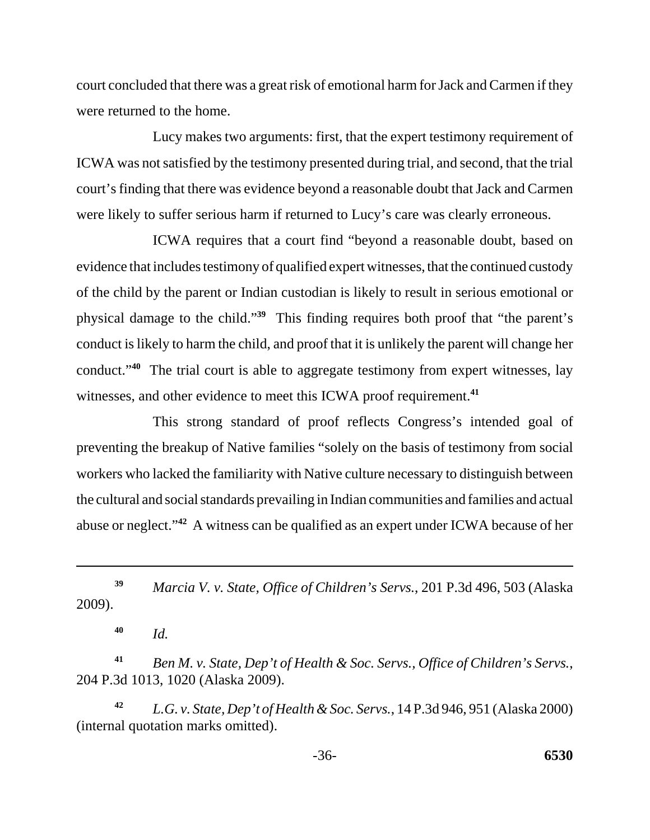court concluded that there was a great risk of emotional harm for Jack and Carmen if they were returned to the home.

Lucy makes two arguments: first, that the expert testimony requirement of ICWA was not satisfied by the testimony presented during trial, and second, that the trial court's finding that there was evidence beyond a reasonable doubt that Jack and Carmen were likely to suffer serious harm if returned to Lucy's care was clearly erroneous.

ICWA requires that a court find "beyond a reasonable doubt, based on evidence that includes testimony of qualified expert witnesses, that the continued custody of the child by the parent or Indian custodian is likely to result in serious emotional or physical damage to the child."**<sup>39</sup>** This finding requires both proof that "the parent's conduct is likely to harm the child, and proof that it is unlikely the parent will change her conduct."**<sup>40</sup>** The trial court is able to aggregate testimony from expert witnesses, lay witnesses, and other evidence to meet this ICWA proof requirement.**<sup>41</sup>**

This strong standard of proof reflects Congress's intended goal of preventing the breakup of Native families "solely on the basis of testimony from social workers who lacked the familiarity with Native culture necessary to distinguish between the cultural and social standards prevailing in Indian communities and families and actual abuse or neglect."**<sup>42</sup>** A witness can be qualified as an expert under ICWA because of her

**<sup>39</sup>***Marcia V. v. State, Office of Children's Servs.*, 201 P.3d 496, 503 (Alaska 2009).

**<sup>40</sup>***Id.* 

**<sup>41</sup>***Ben M. v. State, Dep't of Health & Soc. Servs., Office of Children's Servs.*, 204 P.3d 1013, 1020 (Alaska 2009).

**<sup>42</sup>***L.G. v. State, Dep't of Health & Soc. Servs.*, 14 P.3d 946, 951 (Alaska 2000) (internal quotation marks omitted).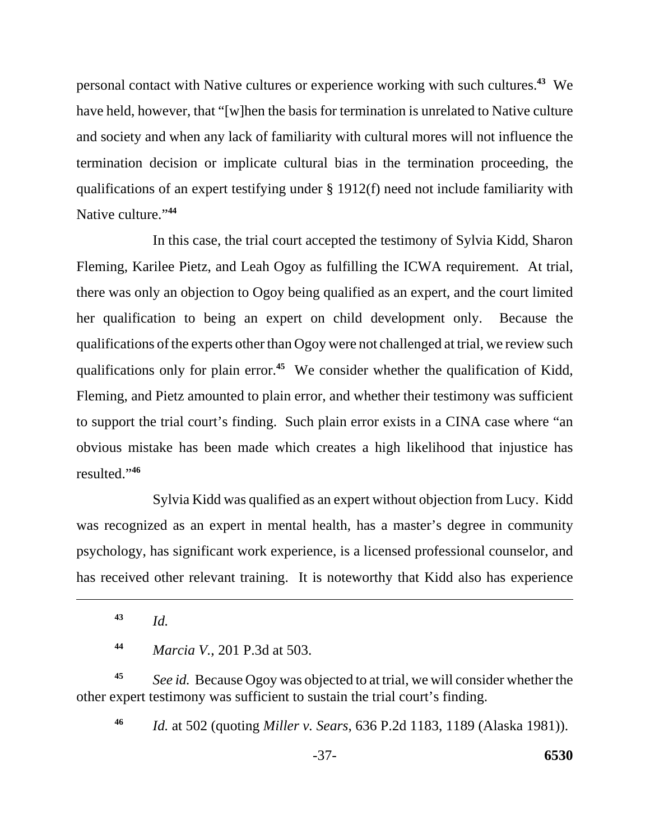personal contact with Native cultures or experience working with such cultures.**<sup>43</sup>** We have held, however, that "[w]hen the basis for termination is unrelated to Native culture and society and when any lack of familiarity with cultural mores will not influence the termination decision or implicate cultural bias in the termination proceeding, the qualifications of an expert testifying under § 1912(f) need not include familiarity with Native culture."**<sup>44</sup>**

In this case, the trial court accepted the testimony of Sylvia Kidd, Sharon Fleming, Karilee Pietz, and Leah Ogoy as fulfilling the ICWA requirement. At trial, there was only an objection to Ogoy being qualified as an expert, and the court limited her qualification to being an expert on child development only. Because the qualifications of the experts other than Ogoy were not challenged at trial, we review such qualifications only for plain error.**<sup>45</sup>** We consider whether the qualification of Kidd, Fleming, and Pietz amounted to plain error, and whether their testimony was sufficient to support the trial court's finding. Such plain error exists in a CINA case where "an obvious mistake has been made which creates a high likelihood that injustice has resulted."**<sup>46</sup>**

Sylvia Kidd was qualified as an expert without objection from Lucy. Kidd was recognized as an expert in mental health, has a master's degree in community psychology, has significant work experience, is a licensed professional counselor, and has received other relevant training. It is noteworthy that Kidd also has experience

**<sup>43</sup>***Id.* 

**<sup>44</sup>***Marcia V.*, 201 P.3d at 503.

**<sup>45</sup>***See id.* Because Ogoy was objected to at trial, we will consider whether the other expert testimony was sufficient to sustain the trial court's finding.

*Id.* at 502 (quoting *Miller v. Sears*, 636 P.2d 1183, 1189 (Alaska 1981)). **46**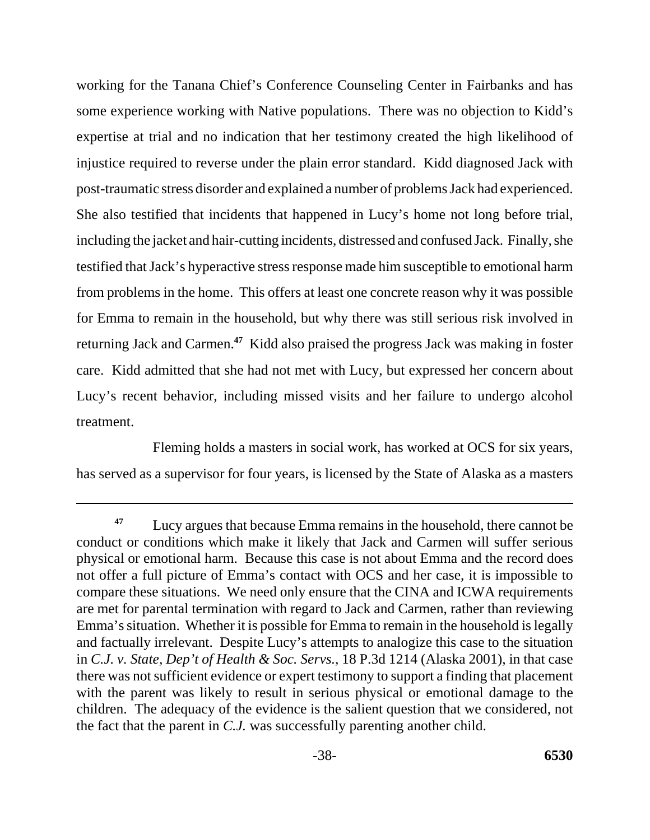working for the Tanana Chief's Conference Counseling Center in Fairbanks and has some experience working with Native populations. There was no objection to Kidd's expertise at trial and no indication that her testimony created the high likelihood of injustice required to reverse under the plain error standard. Kidd diagnosed Jack with post-traumatic stress disorder and explained a number of problems Jack had experienced. She also testified that incidents that happened in Lucy's home not long before trial, including the jacket and hair-cutting incidents, distressed and confused Jack. Finally, she testified that Jack's hyperactive stress response made him susceptible to emotional harm from problems in the home. This offers at least one concrete reason why it was possible for Emma to remain in the household, but why there was still serious risk involved in returning Jack and Carmen.**<sup>47</sup>** Kidd also praised the progress Jack was making in foster care. Kidd admitted that she had not met with Lucy, but expressed her concern about Lucy's recent behavior, including missed visits and her failure to undergo alcohol treatment.

Fleming holds a masters in social work, has worked at OCS for six years, has served as a supervisor for four years, is licensed by the State of Alaska as a masters

**<sup>47</sup>**Lucy argues that because Emma remains in the household, there cannot be conduct or conditions which make it likely that Jack and Carmen will suffer serious physical or emotional harm. Because this case is not about Emma and the record does not offer a full picture of Emma's contact with OCS and her case, it is impossible to compare these situations. We need only ensure that the CINA and ICWA requirements are met for parental termination with regard to Jack and Carmen, rather than reviewing Emma's situation. Whether it is possible for Emma to remain in the household is legally and factually irrelevant. Despite Lucy's attempts to analogize this case to the situation in *C.J. v. State, Dep't of Health & Soc. Servs.*, 18 P.3d 1214 (Alaska 2001), in that case there was not sufficient evidence or expert testimony to support a finding that placement with the parent was likely to result in serious physical or emotional damage to the children. The adequacy of the evidence is the salient question that we considered, not the fact that the parent in *C.J.* was successfully parenting another child.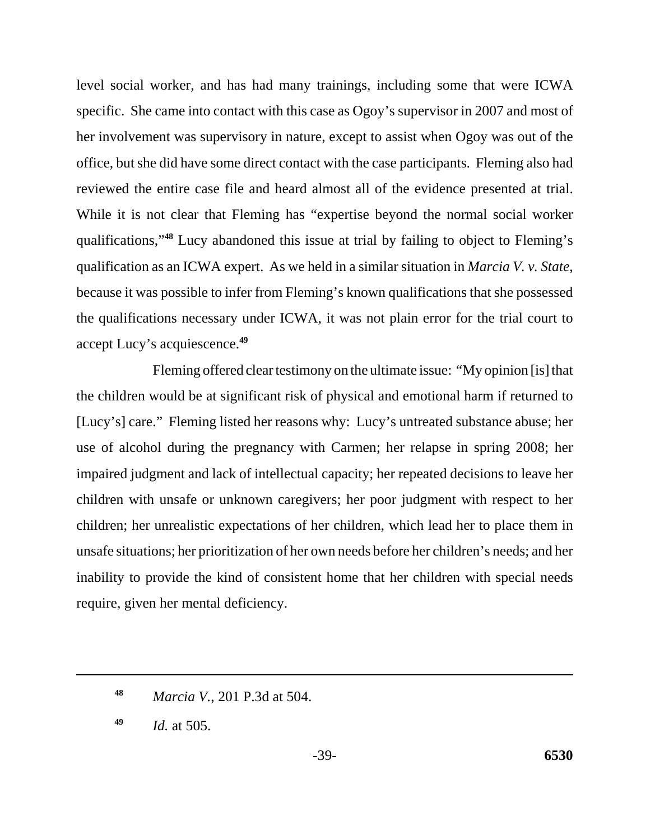accept Lucy's acquiescence.**<sup>49</sup>** level social worker, and has had many trainings, including some that were ICWA specific. She came into contact with this case as Ogoy's supervisor in 2007 and most of her involvement was supervisory in nature, except to assist when Ogoy was out of the office, but she did have some direct contact with the case participants. Fleming also had reviewed the entire case file and heard almost all of the evidence presented at trial. While it is not clear that Fleming has "expertise beyond the normal social worker qualifications,"**<sup>48</sup>** Lucy abandoned this issue at trial by failing to object to Fleming's qualification as an ICWA expert. As we held in a similar situation in *Marcia V. v. State*, because it was possible to infer from Fleming's known qualifications that she possessed the qualifications necessary under ICWA, it was not plain error for the trial court to

Fleming offered clear testimony on the ultimate issue: "My opinion [is] that the children would be at significant risk of physical and emotional harm if returned to [Lucy's] care." Fleming listed her reasons why: Lucy's untreated substance abuse; her use of alcohol during the pregnancy with Carmen; her relapse in spring 2008; her impaired judgment and lack of intellectual capacity; her repeated decisions to leave her children with unsafe or unknown caregivers; her poor judgment with respect to her children; her unrealistic expectations of her children, which lead her to place them in unsafe situations; her prioritization of her own needs before her children's needs; and her inability to provide the kind of consistent home that her children with special needs require, given her mental deficiency.

**<sup>48</sup>***Marcia V.*, 201 P.3d at 504.

**<sup>49</sup>***Id.* at 505.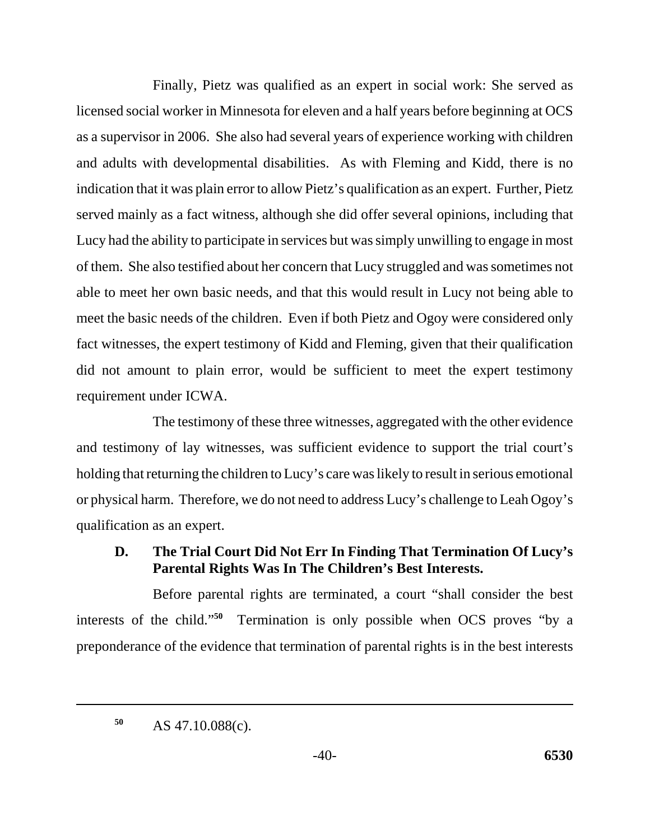Finally, Pietz was qualified as an expert in social work: She served as licensed social worker in Minnesota for eleven and a half years before beginning at OCS as a supervisor in 2006. She also had several years of experience working with children and adults with developmental disabilities. As with Fleming and Kidd, there is no indication that it was plain error to allow Pietz's qualification as an expert. Further, Pietz served mainly as a fact witness, although she did offer several opinions, including that Lucy had the ability to participate in services but was simply unwilling to engage in most of them. She also testified about her concern that Lucy struggled and was sometimes not able to meet her own basic needs, and that this would result in Lucy not being able to meet the basic needs of the children. Even if both Pietz and Ogoy were considered only fact witnesses, the expert testimony of Kidd and Fleming, given that their qualification did not amount to plain error, would be sufficient to meet the expert testimony requirement under ICWA.

The testimony of these three witnesses, aggregated with the other evidence and testimony of lay witnesses, was sufficient evidence to support the trial court's holding that returning the children to Lucy's care was likely to result in serious emotional or physical harm. Therefore, we do not need to address Lucy's challenge to Leah Ogoy's qualification as an expert.

# **D. The Trial Court Did Not Err In Finding That Termination Of Lucy's Parental Rights Was In The Children's Best Interests.**

Before parental rights are terminated, a court "shall consider the best interests of the child."**<sup>50</sup>** Termination is only possible when OCS proves "by a preponderance of the evidence that termination of parental rights is in the best interests

AS 47.10.088(c). **50**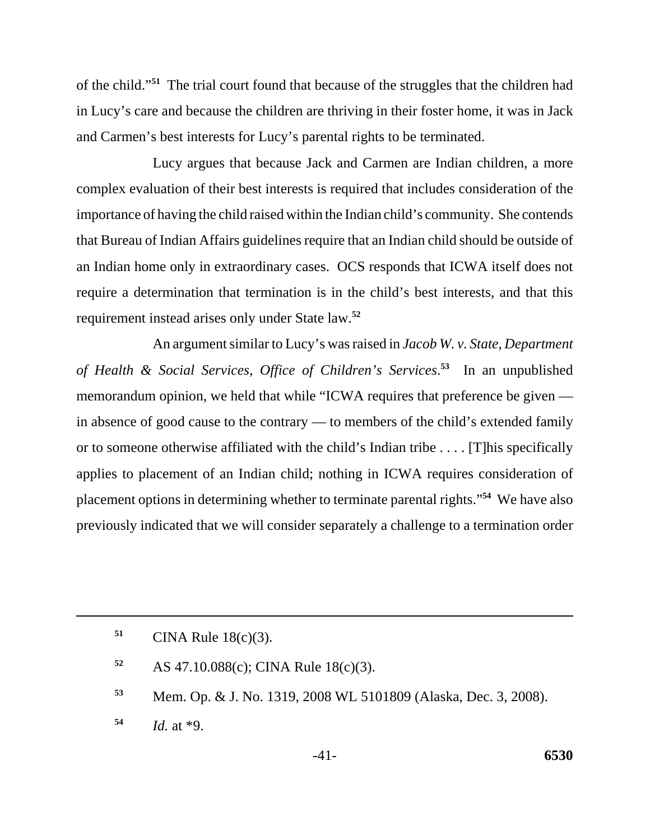of the child."**<sup>51</sup>** The trial court found that because of the struggles that the children had in Lucy's care and because the children are thriving in their foster home, it was in Jack and Carmen's best interests for Lucy's parental rights to be terminated.

Lucy argues that because Jack and Carmen are Indian children, a more complex evaluation of their best interests is required that includes consideration of the importance of having the child raised within the Indian child's community. She contends that Bureau of Indian Affairs guidelines require that an Indian child should be outside of an Indian home only in extraordinary cases. OCS responds that ICWA itself does not require a determination that termination is in the child's best interests, and that this requirement instead arises only under State law.**<sup>52</sup>**

An argument similar to Lucy's was raised in *Jacob W. v. State, Department of Health & Social Services, Office of Children's Services*. **<sup>53</sup>** In an unpublished memorandum opinion, we held that while "ICWA requires that preference be given in absence of good cause to the contrary — to members of the child's extended family or to someone otherwise affiliated with the child's Indian tribe . . . . [T]his specifically applies to placement of an Indian child; nothing in ICWA requires consideration of placement options in determining whether to terminate parental rights."**<sup>54</sup>** We have also previously indicated that we will consider separately a challenge to a termination order

**<sup>51</sup>**CINA Rule 18(c)(3).

**<sup>52</sup>**AS 47.10.088(c); CINA Rule 18(c)(3).

**<sup>53</sup>**Mem. Op. & J. No. 1319, 2008 WL 5101809 (Alaska, Dec. 3, 2008).

**<sup>54</sup>***Id.* at \*9.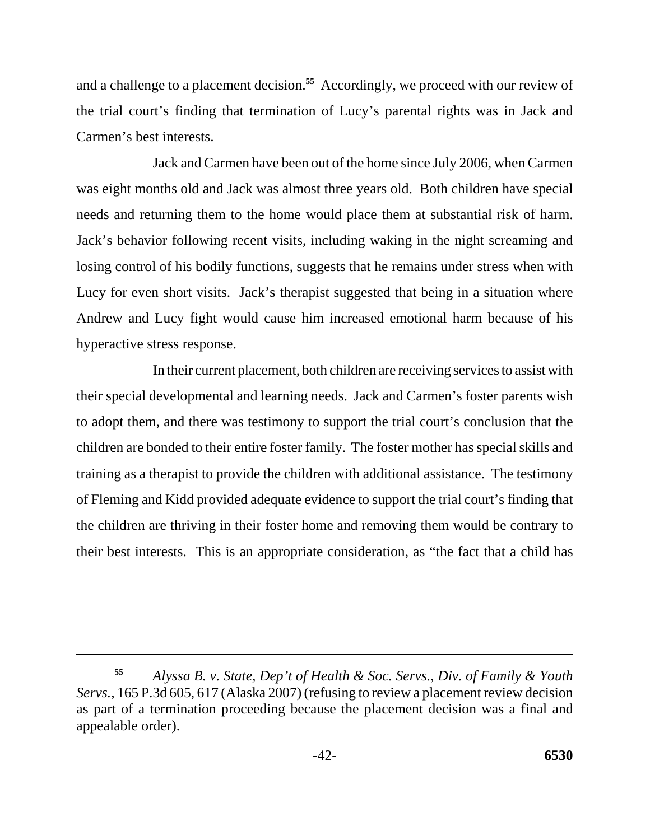and a challenge to a placement decision.**<sup>55</sup>** Accordingly, we proceed with our review of the trial court's finding that termination of Lucy's parental rights was in Jack and Carmen's best interests.

Jack and Carmen have been out of the home since July 2006, when Carmen was eight months old and Jack was almost three years old. Both children have special needs and returning them to the home would place them at substantial risk of harm. Jack's behavior following recent visits, including waking in the night screaming and losing control of his bodily functions, suggests that he remains under stress when with Lucy for even short visits. Jack's therapist suggested that being in a situation where Andrew and Lucy fight would cause him increased emotional harm because of his hyperactive stress response.

In their current placement, both children are receiving services to assist with their special developmental and learning needs. Jack and Carmen's foster parents wish to adopt them, and there was testimony to support the trial court's conclusion that the children are bonded to their entire foster family. The foster mother has special skills and training as a therapist to provide the children with additional assistance. The testimony of Fleming and Kidd provided adequate evidence to support the trial court's finding that the children are thriving in their foster home and removing them would be contrary to their best interests. This is an appropriate consideration, as "the fact that a child has

*Alyssa B. v. State, Dep't of Health & Soc. Servs., Div. of Family & Youth Servs.*, 165 P.3d 605, 617 (Alaska 2007) (refusing to review a placement review decision as part of a termination proceeding because the placement decision was a final and appealable order). **55**